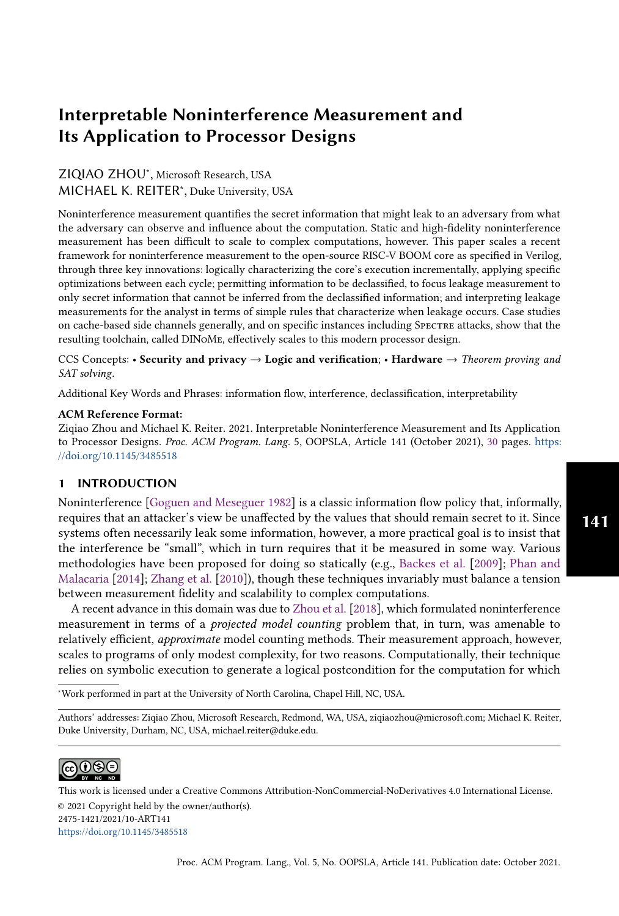# ZIQIAO ZHOU<sup>∗</sup> , Microsoft Research, USA MICHAEL K. REITER<sup>∗</sup> , Duke University, USA

Noninterference measurement quantifies the secret information that might leak to an adversary from what the adversary can observe and influence about the computation. Static and high-fidelity noninterference measurement has been difficult to scale to complex computations, however. This paper scales a recent framework for noninterference measurement to the open-source RISC-V BOOM core as specified in Verilog, through three key innovations: logically characterizing the core's execution incrementally, applying specific optimizations between each cycle; permitting information to be declassified, to focus leakage measurement to only secret information that cannot be inferred from the declassified information; and interpreting leakage measurements for the analyst in terms of simple rules that characterize when leakage occurs. Case studies on cache-based side channels generally, and on specific instances including Spectre attacks, show that the resulting toolchain, called DINoMe, effectively scales to this modern processor design.

CCS Concepts: • Security and privacy  $\rightarrow$  Logic and verification; • Hardware  $\rightarrow$  Theorem proving and SAT solving.

Additional Key Words and Phrases: information flow, interference, declassification, interpretability

#### ACM Reference Format:

Ziqiao Zhou and Michael K. Reiter. 2021. Interpretable Noninterference Measurement and Its Application to Processor Designs. Proc. ACM Program. Lang. 5, OOPSLA, Article 141 (October 2021), [30](#page-29-0) pages. [https:](https://doi.org/10.1145/3485518) [//doi.org/10.1145/3485518](https://doi.org/10.1145/3485518)

# 1 INTRODUCTION

Noninterference [\[Goguen and Meseguer 1982\]](#page-27-0) is a classic information flow policy that, informally, requires that an attacker's view be unaffected by the values that should remain secret to it. Since systems often necessarily leak some information, however, a more practical goal is to insist that the interference be "small", which in turn requires that it be measured in some way. Various methodologies have been proposed for doing so statically (e.g., [Backes et al.](#page-26-0) [\[2009\]](#page-26-0); [Phan and](#page-28-0) [Malacaria](#page-28-0) [\[2014\]](#page-28-0); [Zhang et al.](#page-29-1) [\[2010\]](#page-29-1)), though these techniques invariably must balance a tension between measurement fidelity and scalability to complex computations.

A recent advance in this domain was due to [Zhou et al.](#page-29-2) [\[2018\]](#page-29-2), which formulated noninterference measurement in terms of a projected model counting problem that, in turn, was amenable to relatively efficient, approximate model counting methods. Their measurement approach, however, scales to programs of only modest complexity, for two reasons. Computationally, their technique relies on symbolic execution to generate a logical postcondition for the computation for which

<sup>∗</sup>Work performed in part at the University of North Carolina, Chapel Hill, NC, USA.

Authors' addresses: Ziqiao Zhou, Microsoft Research, Redmond, WA, USA, ziqiaozhou@microsoft.com; Michael K. Reiter, Duke University, Durham, NC, USA, michael.reiter@duke.edu.

#### Permission to make digital or hard copies of part or all of this work for personal or classroom use is granted without fee  $\mathcal C$ டு $\mathcal C$  $\sim$  by  $n_c$  no

This work is licensed under a Creative Commons Attribution-NonCommercial-NoDerivatives 4.0 International License. © 2021 Copyright held by the owner/author(s). 2475-1421/2021/10-ART141 <https://doi.org/10.1145/3485518>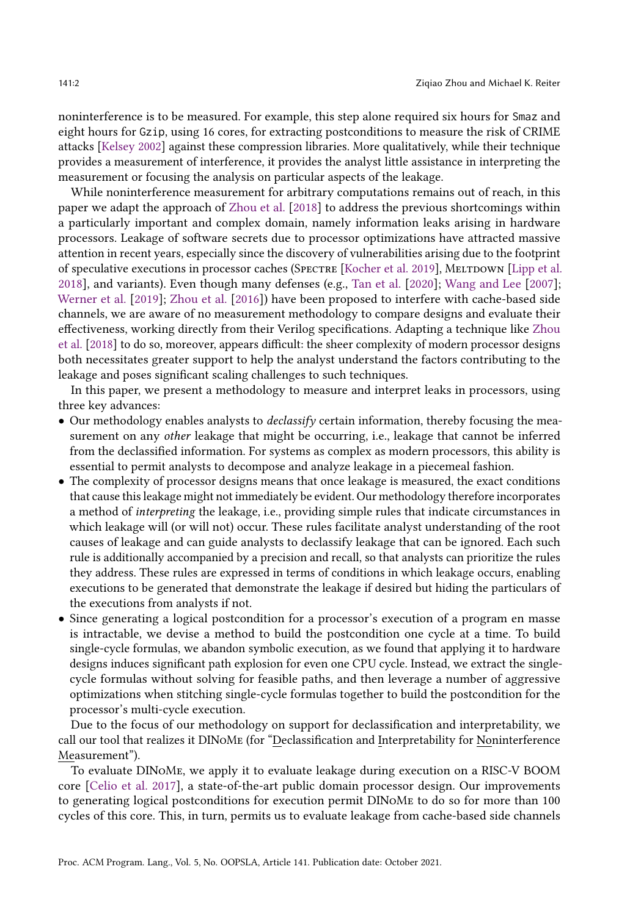noninterference is to be measured. For example, this step alone required six hours for Smaz and eight hours for Gzip, using 16 cores, for extracting postconditions to measure the risk of CRIME attacks [\[Kelsey 2002\]](#page-27-1) against these compression libraries. More qualitatively, while their technique provides a measurement of interference, it provides the analyst little assistance in interpreting the measurement or focusing the analysis on particular aspects of the leakage.

While noninterference measurement for arbitrary computations remains out of reach, in this paper we adapt the approach of [Zhou et al.](#page-29-2) [\[2018\]](#page-29-2) to address the previous shortcomings within a particularly important and complex domain, namely information leaks arising in hardware processors. Leakage of software secrets due to processor optimizations have attracted massive attention in recent years, especially since the discovery of vulnerabilities arising due to the footprint of speculative executions in processor caches (SPECTRE [\[Kocher et al.](#page-27-2) [2019\]](#page-27-2), MELTDOWN [\[Lipp et al.](#page-27-3) [2018\]](#page-27-3), and variants). Even though many defenses (e.g., [Tan et al.](#page-28-1) [\[2020\]](#page-28-1); [Wang and Lee](#page-28-2) [\[2007\]](#page-28-2); [Werner et al.](#page-28-3) [\[2019\]](#page-28-3); [Zhou et al.](#page-29-3) [\[2016\]](#page-29-3)) have been proposed to interfere with cache-based side channels, we are aware of no measurement methodology to compare designs and evaluate their effectiveness, working directly from their Verilog specifications. Adapting a technique like [Zhou](#page-29-2) [et al.](#page-29-2) [\[2018\]](#page-29-2) to do so, moreover, appears difficult: the sheer complexity of modern processor designs both necessitates greater support to help the analyst understand the factors contributing to the leakage and poses significant scaling challenges to such techniques.

In this paper, we present a methodology to measure and interpret leaks in processors, using three key advances:

- Our methodology enables analysts to *declassify* certain information, thereby focusing the measurement on any *other* leakage that might be occurring, i.e., leakage that cannot be inferred from the declassified information. For systems as complex as modern processors, this ability is essential to permit analysts to decompose and analyze leakage in a piecemeal fashion.
- The complexity of processor designs means that once leakage is measured, the exact conditions that cause this leakage might not immediately be evident. Our methodology therefore incorporates a method of interpreting the leakage, i.e., providing simple rules that indicate circumstances in which leakage will (or will not) occur. These rules facilitate analyst understanding of the root causes of leakage and can guide analysts to declassify leakage that can be ignored. Each such rule is additionally accompanied by a precision and recall, so that analysts can prioritize the rules they address. These rules are expressed in terms of conditions in which leakage occurs, enabling executions to be generated that demonstrate the leakage if desired but hiding the particulars of the executions from analysts if not.
- Since generating a logical postcondition for a processor's execution of a program en masse is intractable, we devise a method to build the postcondition one cycle at a time. To build single-cycle formulas, we abandon symbolic execution, as we found that applying it to hardware designs induces significant path explosion for even one CPU cycle. Instead, we extract the singlecycle formulas without solving for feasible paths, and then leverage a number of aggressive optimizations when stitching single-cycle formulas together to build the postcondition for the processor's multi-cycle execution.

Due to the focus of our methodology on support for declassification and interpretability, we call our tool that realizes it DINOME (for "Declassification and Interpretability for Noninterference Measurement").

To evaluate DINoMe, we apply it to evaluate leakage during execution on a RISC-V BOOM core [\[Celio et al.](#page-26-1) [2017\]](#page-26-1), a state-of-the-art public domain processor design. Our improvements to generating logical postconditions for execution permit DINoMe to do so for more than 100 cycles of this core. This, in turn, permits us to evaluate leakage from cache-based side channels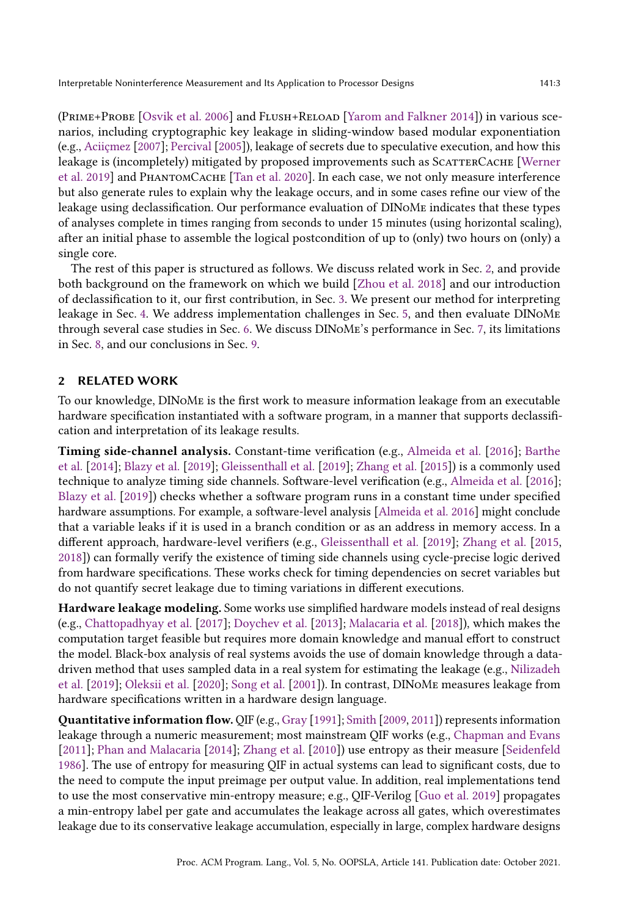(Prime+Probe [\[Osvik et al.](#page-28-4) [2006\]](#page-28-4) and Flush+Reload [\[Yarom and Falkner 2014\]](#page-28-5)) in various scenarios, including cryptographic key leakage in sliding-window based modular exponentiation (e.g., [Aciiçmez](#page-26-2) [\[2007\]](#page-26-2); [Percival](#page-28-6) [\[2005\]](#page-28-6)), leakage of secrets due to speculative execution, and how this leakage is (incompletely) mitigated by proposed improvements such as SCATTERCACHE [\[Werner](#page-28-3) [et al.](#page-28-3) [2019\]](#page-28-3) and PhantomCache [\[Tan et al.](#page-28-1) [2020\]](#page-28-1). In each case, we not only measure interference but also generate rules to explain why the leakage occurs, and in some cases refine our view of the leakage using declassification. Our performance evaluation of DINoMe indicates that these types of analyses complete in times ranging from seconds to under 15 minutes (using horizontal scaling), after an initial phase to assemble the logical postcondition of up to (only) two hours on (only) a single core.

The rest of this paper is structured as follows. We discuss related work in Sec. [2,](#page-2-0) and provide both background on the framework on which we build [\[Zhou et al.](#page-29-2) [2018\]](#page-29-2) and our introduction of declassification to it, our first contribution, in Sec. [3.](#page-3-0) We present our method for interpreting leakage in Sec. [4.](#page-7-0) We address implementation challenges in Sec. [5,](#page-10-0) and then evaluate DINoMe through several case studies in Sec. [6.](#page-14-0) We discuss DINoMe's performance in Sec. [7,](#page-24-0) its limitations in Sec. [8,](#page-25-0) and our conclusions in Sec. [9.](#page-26-3)

#### <span id="page-2-0"></span>2 RELATED WORK

To our knowledge, DINoMe is the first work to measure information leakage from an executable hardware specification instantiated with a software program, in a manner that supports declassification and interpretation of its leakage results.

Timing side-channel analysis. Constant-time verification (e.g., [Almeida et al.](#page-26-4) [\[2016\]](#page-26-4); [Barthe](#page-26-5) [et al.](#page-26-5) [\[2014\]](#page-26-5); [Blazy et al.](#page-26-6) [\[2019\]](#page-26-6); [Gleissenthall et al.](#page-27-4) [\[2019\]](#page-27-4); [Zhang et al.](#page-28-7) [\[2015\]](#page-28-7)) is a commonly used technique to analyze timing side channels. Software-level verification (e.g., [Almeida et al.](#page-26-4) [\[2016\]](#page-26-4); [Blazy et al.](#page-26-6) [\[2019\]](#page-26-6)) checks whether a software program runs in a constant time under specified hardware assumptions. For example, a software-level analysis [\[Almeida et al.](#page-26-4) [2016\]](#page-26-4) might conclude that a variable leaks if it is used in a branch condition or as an address in memory access. In a different approach, hardware-level verifiers (e.g., [Gleissenthall et al.](#page-27-4) [\[2019\]](#page-27-4); [Zhang et al.](#page-28-7) [\[2015,](#page-28-7) [2018\]](#page-29-4)) can formally verify the existence of timing side channels using cycle-precise logic derived from hardware specifications. These works check for timing dependencies on secret variables but do not quantify secret leakage due to timing variations in different executions.

Hardware leakage modeling. Some works use simplified hardware models instead of real designs (e.g., [Chattopadhyay et al.](#page-27-5) [\[2017\]](#page-27-5); [Doychev et al.](#page-27-6) [\[2013\]](#page-27-6); [Malacaria et al.](#page-27-7) [\[2018\]](#page-27-7)), which makes the computation target feasible but requires more domain knowledge and manual effort to construct the model. Black-box analysis of real systems avoids the use of domain knowledge through a datadriven method that uses sampled data in a real system for estimating the leakage (e.g., [Nilizadeh](#page-28-8) [et al.](#page-28-8) [\[2019\]](#page-28-8); [Oleksii et al.](#page-28-9) [\[2020\]](#page-28-9); [Song et al.](#page-28-10) [\[2001\]](#page-28-10)). In contrast, DINoMe measures leakage from hardware specifications written in a hardware design language.

Quantitative information flow. QIF (e.g., [Gray](#page-27-8) [\[1991\]](#page-27-8); [Smith](#page-28-11) [\[2009,](#page-28-11) [2011\]](#page-28-12)) represents information leakage through a numeric measurement; most mainstream QIF works (e.g., [Chapman and Evans](#page-27-9) [\[2011\]](#page-27-9); [Phan and Malacaria](#page-28-0) [\[2014\]](#page-28-0); [Zhang et al.](#page-29-1) [\[2010\]](#page-29-1)) use entropy as their measure [\[Seidenfeld](#page-28-13) [1986\]](#page-28-13). The use of entropy for measuring QIF in actual systems can lead to significant costs, due to the need to compute the input preimage per output value. In addition, real implementations tend to use the most conservative min-entropy measure; e.g., QIF-Verilog [\[Guo et al.](#page-27-10) [2019\]](#page-27-10) propagates a min-entropy label per gate and accumulates the leakage across all gates, which overestimates leakage due to its conservative leakage accumulation, especially in large, complex hardware designs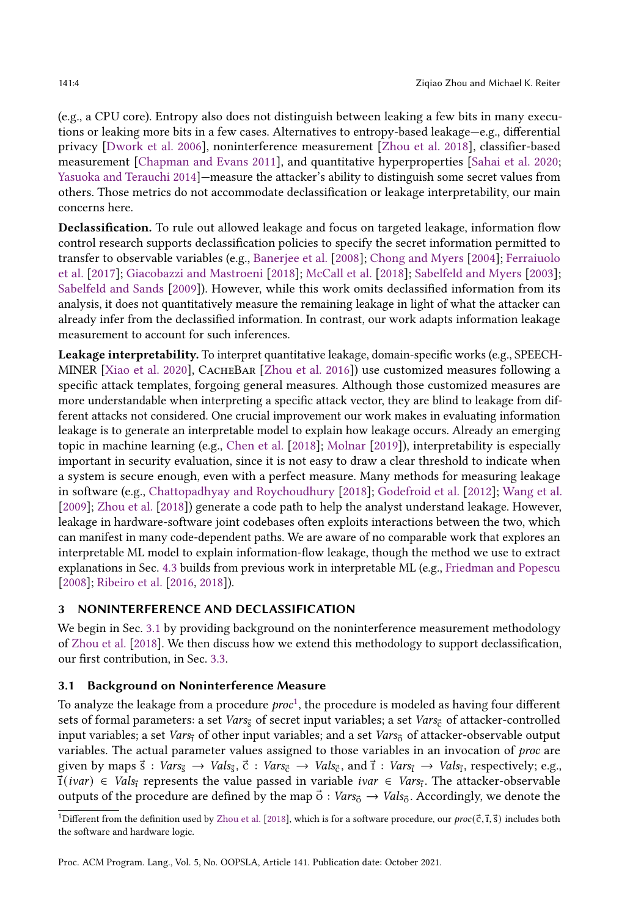(e.g., a CPU core). Entropy also does not distinguish between leaking a few bits in many executions or leaking more bits in a few cases. Alternatives to entropy-based leakage-e.g., differential privacy [\[Dwork et al.](#page-27-11) [2006\]](#page-27-11), noninterference measurement [\[Zhou et al.](#page-29-2) [2018\]](#page-29-2), classifier-based measurement [\[Chapman and Evans 2011\]](#page-27-9), and quantitative hyperproperties [\[Sahai et al.](#page-28-14) [2020;](#page-28-14) [Yasuoka and Terauchi 2014\]](#page-28-15)–measure the attacker's ability to distinguish some secret values from others. Those metrics do not accommodate declassification or leakage interpretability, our main concerns here.

Declassification. To rule out allowed leakage and focus on targeted leakage, information flow control research supports declassification policies to specify the secret information permitted to transfer to observable variables (e.g., [Banerjee et al.](#page-26-7) [\[2008\]](#page-26-7); [Chong and Myers](#page-27-12) [\[2004\]](#page-27-12); [Ferraiuolo](#page-27-13) [et al.](#page-27-13) [\[2017\]](#page-27-13); [Giacobazzi and Mastroeni](#page-27-14) [\[2018\]](#page-27-14); [McCall et al.](#page-28-16) [\[2018\]](#page-28-16); [Sabelfeld and Myers](#page-28-17) [\[2003\]](#page-28-17); [Sabelfeld and Sands](#page-28-18) [\[2009\]](#page-28-18)). However, while this work omits declassified information from its analysis, it does not quantitatively measure the remaining leakage in light of what the attacker can already infer from the declassified information. In contrast, our work adapts information leakage measurement to account for such inferences.

Leakage interpretability. To interpret quantitative leakage, domain-specific works (e.g., SPEECH-MINER [\[Xiao et al.](#page-28-19) [2020\]](#page-28-19), CacheBar [\[Zhou et al.](#page-29-3) [2016\]](#page-29-3)) use customized measures following a specific attack templates, forgoing general measures. Although those customized measures are more understandable when interpreting a specific attack vector, they are blind to leakage from different attacks not considered. One crucial improvement our work makes in evaluating information leakage is to generate an interpretable model to explain how leakage occurs. Already an emerging topic in machine learning (e.g., [Chen et al.](#page-27-15) [\[2018\]](#page-27-15); [Molnar](#page-28-20) [\[2019\]](#page-28-20)), interpretability is especially important in security evaluation, since it is not easy to draw a clear threshold to indicate when a system is secure enough, even with a perfect measure. Many methods for measuring leakage in software (e.g., [Chattopadhyay and Roychoudhury](#page-27-16) [\[2018\]](#page-27-16); [Godefroid et al.](#page-27-17) [\[2012\]](#page-27-17); [Wang et al.](#page-28-21) [\[2009\]](#page-28-21); [Zhou et al.](#page-29-2) [\[2018\]](#page-29-2)) generate a code path to help the analyst understand leakage. However, leakage in hardware-software joint codebases often exploits interactions between the two, which can manifest in many code-dependent paths. We are aware of no comparable work that explores an interpretable ML model to explain information-flow leakage, though the method we use to extract explanations in Sec. [4.3](#page-8-0) builds from previous work in interpretable ML (e.g., [Friedman and Popescu](#page-27-18) [\[2008\]](#page-27-18); [Ribeiro et al.](#page-28-22) [\[2016,](#page-28-22) [2018\]](#page-28-23)).

# <span id="page-3-0"></span>3 NONINTERFERENCE AND DECLASSIFICATION

We begin in Sec. [3.1](#page-3-1) by providing background on the noninterference measurement methodology of [Zhou et al.](#page-29-2) [\[2018\]](#page-29-2). We then discuss how we extend this methodology to support declassification, our first contribution, in Sec. [3.3.](#page-5-0)

# <span id="page-3-1"></span>3.1 Background on Noninterference Measure

To analyze the leakage from a procedure  $proc<sup>1</sup>$  $proc<sup>1</sup>$  $proc<sup>1</sup>$ , the procedure is modeled as having four different sets of formal parameters: a set Vars $_{\rm s}$  of secret input variables; a set Vars $_{\rm c}$  of attacker-controlled input variables; a set Vars<sub>i</sub> of other input variables; and a set Vars<sub>o</sub> of attacker-observable output variables. The actual parameter values assigned to those variables in an invocation of proc are given by maps  $\vec{s}$  :  $Vars_{\vec{s}} \rightarrow Vals_{\vec{s}}, \vec{c}$  :  $Vars_{\vec{c}} \rightarrow Vals_{\vec{c}}$ , and  $\vec{t}$  :  $Vars_{\vec{i}} \rightarrow Vals_{\vec{i}}$ , respectively; e.g.,  $\vec{f}(ivar) \in \text{Vals}_{\vec{i}}$  represents the value passed in variable *ivar*  $\in \text{Vars}_{\vec{i}}$ . The attacker-observable outputs of the procedure are defined by the map  $\vec{o}$  :  $Vars_{\vec{o}} \rightarrow Vals_{\vec{o}}$ . Accordingly, we denote the

<span id="page-3-2"></span><sup>&</sup>lt;sup>1</sup>Different from the definition used by [Zhou et al.](#page-29-2) [\[2018\]](#page-29-2), which is for a software procedure, our  $proc(\vec{c}, \vec{r}, \vec{s})$  includes both the software and hardware logic.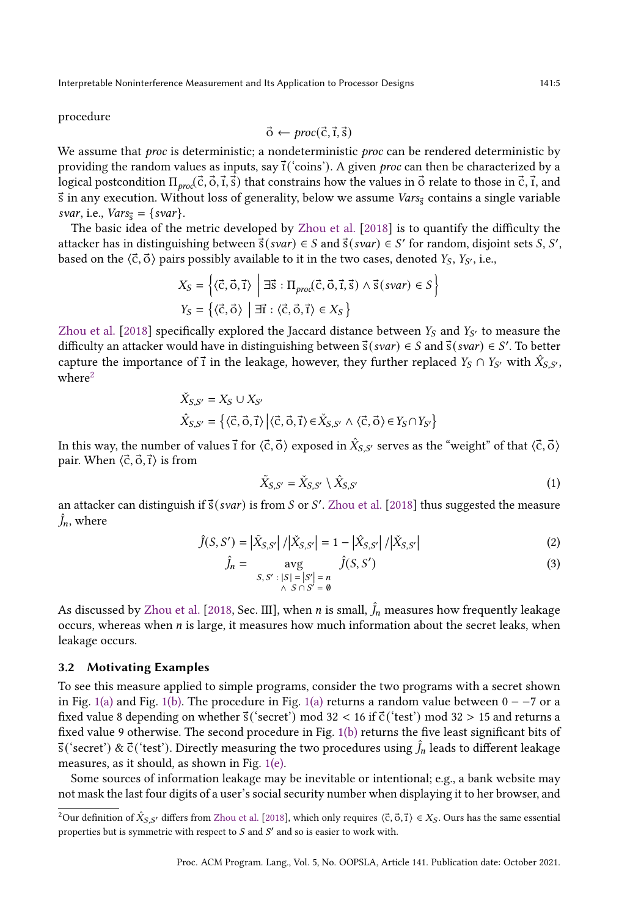procedure

$$
\vec{o} \leftarrow \text{proc}(\vec{c}, \vec{1}, \vec{s})
$$

We assume that *proc* is deterministic; a nondeterministic *proc* can be rendered deterministic by providing the random values as inputs, say  $\vec{\iota}$  ('coins'). A given *proc* can then be characterized by a logical postcondition  $\Pi_{proc}(\vec{c}, \vec{o}, \vec{t}, \vec{s})$  that constrains how the values in  $\vec{o}$  relate to those in  $\vec{c}, \vec{t}$ , and  $\vec{s}$  in any execution. Without loss of generality, below we assume *Vars* contains a single variable svar, i.e.,  $Vars_{\vec{s}} = \{svar\}.$ 

The basic idea of the metric developed by [Zhou et al.](#page-29-2) [\[2018\]](#page-29-2) is to quantify the difficulty the attacker has in distinguishing between  $\overline{s}(svar) \in S$  and  $\overline{s}(svar) \in S'$  for random, disjoint sets *S*, *S'*, based on the  $\langle \vec{c}, \vec{o} \rangle$  pairs possibly available to it in the two cases, denoted  $Y_s, Y_{S'}$ , i.e.,

$$
X_S = \left\{ \langle \vec{c}, \vec{o}, \vec{t} \rangle \middle| \exists \vec{s} : \Pi_{proc}(\vec{c}, \vec{o}, \vec{t}, \vec{s}) \land \vec{s}(\text{svar}) \in S \right\}
$$
  

$$
Y_S = \left\{ \langle \vec{c}, \vec{o} \rangle \middle| \exists \vec{t} : \langle \vec{c}, \vec{o}, \vec{t} \rangle \in X_S \right\}
$$

[Zhou et al.](#page-29-2) [\[2018\]](#page-29-2) specifically explored the Jaccard distance between  $Y_S$  and  $Y_{S'}$  to measure the difficulty an attacker would have in distinguishing between  $\vec{s}(svar) \in S$  and  $\vec{s}(svar) \in S'$ . To better capture the importance of  $\vec{\textbf{i}}$  in the leakage, however, they further replaced  $Y_S \cap Y_{S'}$  with  $\hat{X}_{S,S'},$  $where<sup>2</sup>$  $where<sup>2</sup>$  $where<sup>2</sup>$ 

$$
\begin{aligned}\n\check{X}_{S,S'} &= X_S \cup X_{S'} \\
\hat{X}_{S,S'} &= \left\{ \langle \vec{\mathbf{C}}, \vec{\mathbf{O}}, \vec{\mathbf{I}} \rangle \left| \langle \vec{\mathbf{C}}, \vec{\mathbf{O}}, \vec{\mathbf{I}} \rangle \in \check{X}_{S,S'} \land \langle \vec{\mathbf{C}}, \vec{\mathbf{O}} \rangle \in Y_S \cap Y_{S'} \right\}\n\end{aligned}
$$

In this way, the number of values  $\vec{\rm i}$  for  $\langle\vec{\rm c},\vec{\rm o}\rangle$  exposed in  $\hat X_{S,S'}$  serves as the "weight" of that  $\langle\vec{\rm c},\vec{\rm o}\rangle$ pair. When  $\langle \vec{c}, \vec{0}, \vec{1} \rangle$  is from

$$
\tilde{X}_{S,S'} = \tilde{X}_{S,S'} \setminus \hat{X}_{S,S'} \tag{1}
$$

an attacker can distinguish if  $\vec{s}(svar)$  is from S or S'. [Zhou et al.](#page-29-2) [\[2018\]](#page-29-2) thus suggested the measure  $\hat{J}_n$ , where

$$
\hat{J}(S, S') = |\tilde{X}_{S, S'}| / |\tilde{X}_{S, S'}| = 1 - |\hat{X}_{S, S'}| / |\tilde{X}_{S, S'}|
$$
\n(2)

$$
\hat{J}_n = \underset{S, S': |S| = |S'|}{\text{avg}} \quad \hat{J}(S, S')
$$
\n
$$
\hat{J}(S, S') = \underset{S \cap S' = \emptyset}{\text{avg}} \quad \hat{J}(S, S')
$$
\n
$$
(3)
$$

As discussed by [Zhou et al.](#page-29-2) [\[2018,](#page-29-2) Sec. III], when *n* is small,  $\hat{J}_n$  measures how frequently leakage occurs, whereas when  $n$  is large, it measures how much information about the secret leaks, when leakage occurs.

#### 3.2 Motivating Examples

To see this measure applied to simple programs, consider the two programs with a secret shown in Fig. [1\(a\)](#page-5-1) and Fig. [1\(b\).](#page-5-1) The procedure in Fig. 1(a) returns a random value between  $0 - -7$  or a fixed value 8 depending on whether  $\vec{s}$  ('secret') mod 32 < 16 if  $\vec{c}$  ('test') mod 32 > 15 and returns a fixed value 9 otherwise. The second procedure in Fig. [1\(b\)](#page-5-1) returns the five least significant bits of  $\vec{s}$  ('secret') &  $\vec{c}$  ('test'). Directly measuring the two procedures using  $\hat{J}_n$  leads to different leakage measures, as it should, as shown in Fig. [1\(e\).](#page-5-1)

Some sources of information leakage may be inevitable or intentional; e.g., a bank website may not mask the last four digits of a user's social security number when displaying it to her browser, and

<span id="page-4-0"></span><sup>&</sup>lt;sup>2</sup>Our definition of  $\hat{X}_{S,S'}$  differs from [Zhou et al.](#page-29-2) [\[2018\]](#page-29-2), which only requires ⟨c̊, o̊, t̊) ∈  $X_S$ . Ours has the same essential properties but is symmetric with respect to  $S$  and  $S'$  and so is easier to work with.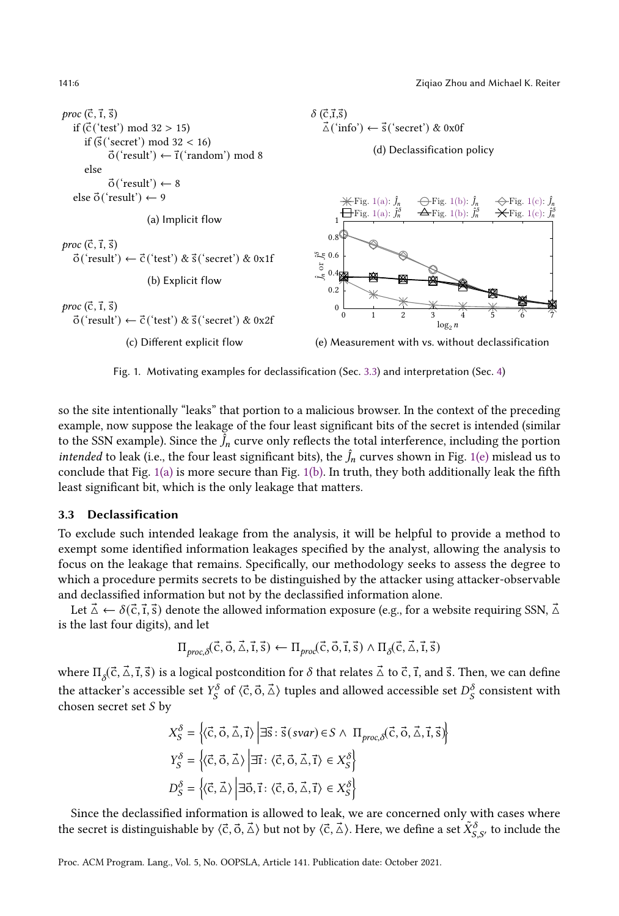141:6 Ziqiao Zhou and Michael K. Reiter

<span id="page-5-1"></span>

Fig. 1. Motivating examples for declassification (Sec. [3.3\)](#page-5-0) and interpretation (Sec. [4\)](#page-7-0)

so the site intentionally "leaks" that portion to a malicious browser. In the context of the preceding example, now suppose the leakage of the four least significant bits of the secret is intended (similar to the SSN example). Since the  $\tilde{J}_n$  curve only reflects the total interference, including the portion *intended* to leak (i.e., the four least significant bits), the  $\hat{J}_n$  curves shown in Fig. [1\(e\)](#page-5-1) mislead us to conclude that Fig.  $1(a)$  is more secure than Fig.  $1(b)$ . In truth, they both additionally leak the fifth least significant bit, which is the only leakage that matters.

#### <span id="page-5-0"></span>3.3 Declassification

To exclude such intended leakage from the analysis, it will be helpful to provide a method to exempt some identified information leakages specified by the analyst, allowing the analysis to focus on the leakage that remains. Specifically, our methodology seeks to assess the degree to which a procedure permits secrets to be distinguished by the attacker using attacker-observable and declassified information but not by the declassified information alone.

Let  $\vec{\Delta} \leftarrow \delta(\vec{c}, \vec{t}, \vec{s})$  denote the allowed information exposure (e.g., for a website requiring SSN,  $\vec{\Delta}$ is the last four digits), and let

$$
\Pi_{\text{proc}, \delta}(\vec{c}, \vec{o}, \vec{\Delta}, \vec{t}, \vec{s}) \leftarrow \Pi_{\text{proc}}(\vec{c}, \vec{o}, \vec{t}, \vec{s}) \land \Pi_{\delta}(\vec{c}, \vec{\Delta}, \vec{t}, \vec{s})
$$

where  $\Pi_\delta(\vec{c}, \vec{\Delta}, \vec{t}, \vec{s})$  is a logical postcondition for  $\delta$  that relates  $\vec{\Delta}$  to  $\vec{c}, \vec{t}$ , and  $\vec{s}$ . Then, we can define the attacker's accessible set  $Y_S^{\delta}$  of  $\langle \vec{c}, \vec{o}, \vec{\Delta} \rangle$  tuples and allowed accessible set  $D_S^{\delta}$  consistent with chosen secret set  $S$  by

$$
X_{S}^{\delta} = \left\{ \langle \vec{c}, \vec{o}, \vec{\Delta}, \vec{t} \rangle \middle| \exists \vec{s} : \vec{s}(\text{svar}) \in S \land \Pi_{\text{proc}, \delta}(\vec{c}, \vec{o}, \vec{\Delta}, \vec{t}, \vec{s}) \right\}
$$
  
\n
$$
Y_{S}^{\delta} = \left\{ \langle \vec{c}, \vec{o}, \vec{\Delta} \rangle \middle| \exists \vec{t} : \langle \vec{c}, \vec{o}, \vec{\Delta}, \vec{t} \rangle \in X_{S}^{\delta} \right\}
$$
  
\n
$$
D_{S}^{\delta} = \left\{ \langle \vec{c}, \vec{\Delta} \rangle \middle| \exists \vec{o}, \vec{t} : \langle \vec{c}, \vec{o}, \vec{\Delta}, \vec{t} \rangle \in X_{S}^{\delta} \right\}
$$

Since the declassified information is allowed to leak, we are concerned only with cases where the secret is distinguishable by  $\langle\vec{\mathsf{c}},\vec{\mathsf{o}},\vec{\mathsf{\Delta}}\rangle$  but not by  $\langle\vec{\mathsf{c}},\vec{\mathsf{\Delta}}\rangle$ . Here, we define a set  $\tilde X_{S,S'}^{\delta}$  to include the

Proc. ACM Program. Lang., Vol. 5, No. OOPSLA, Article 141. Publication date: October 2021.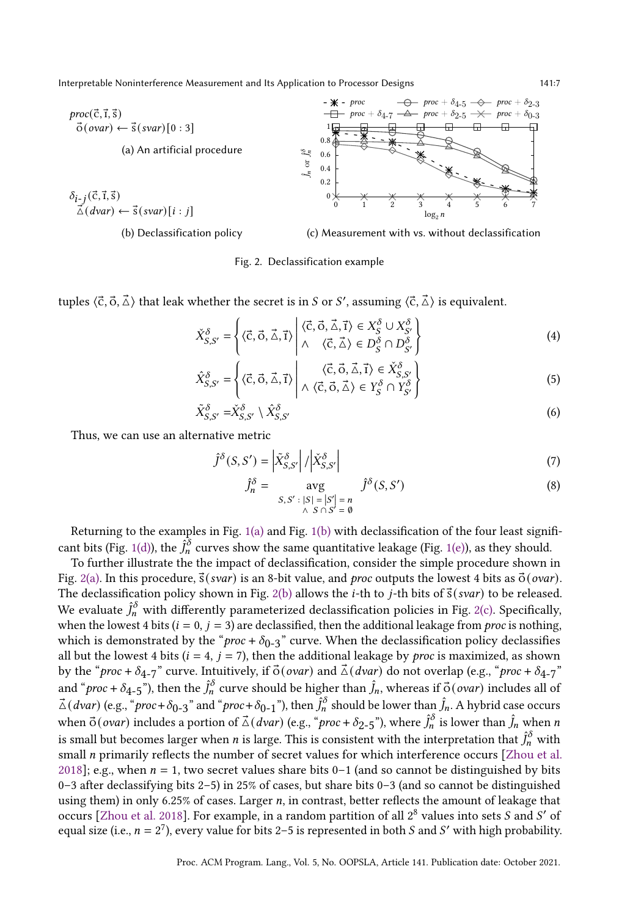<span id="page-6-0"></span>

Fig. 2. Declassification example

tuples  $\langle \vec{\rm c}, \vec{\rm o}, \vec{\rm \Delta} \rangle$  that leak whether the secret is in  $S$  or  $S'$ , assuming  $\langle \vec{\rm c}, \vec{\rm \Delta} \rangle$  is equivalent.

$$
\check{X}_{S,S'}^{\delta} = \left\{ \langle \vec{c}, \vec{o}, \vec{\Delta}, \vec{t} \rangle \middle| \begin{aligned} \langle \vec{c}, \vec{o}, \vec{\Delta}, \vec{t} \rangle \in X_S^{\delta} \cup X_{S'}^{\delta} \\ \wedge \quad \langle \vec{c}, \vec{\Delta} \rangle \in D_S^{\delta} \cap D_{S'}^{\delta} \end{aligned} \right\}
$$
(4)

$$
\hat{X}_{S,S'}^{\delta} = \left\{ \langle \vec{c}, \vec{o}, \vec{\Delta}, \vec{\mathbf{i}} \rangle \middle| \begin{array}{c} \langle \vec{c}, \vec{o}, \vec{\Delta}, \vec{\mathbf{i}} \rangle \in \check{X}_{S,S'}^{\delta} \\ \wedge \langle \vec{c}, \vec{o}, \vec{\Delta} \rangle \in Y_{S}^{\delta} \cap Y_{S'}^{\delta} \end{array} \right\}
$$
(5)

$$
\tilde{X}_{S,S'}^{\delta} = \check{X}_{S,S'}^{\delta} \setminus \hat{X}_{S,S'}^{\delta} \tag{6}
$$

Thus, we can use an alternative metric

$$
\hat{J}^{\delta}(S, S') = \left| \tilde{X}_{S, S'}^{\delta} \right| / \left| \tilde{X}_{S, S'}^{\delta} \right| \tag{7}
$$

<span id="page-6-2"></span><span id="page-6-1"></span>
$$
\hat{J}_n^{\delta} = \underset{\begin{array}{c} S, S': |S| = |S'| = n \\ \wedge S \cap S' = \emptyset \end{array}}{\text{avg}} \hat{J}^{\delta}(S, S') \tag{8}
$$

Returning to the examples in Fig. [1\(a\)](#page-5-1) and Fig. [1\(b\)](#page-5-1) with declassification of the four least signifi-cant bits (Fig. [1\(d\)\)](#page-5-1), the  $\hat{J}_n^\delta$  curves show the same quantitative leakage (Fig. [1\(e\)\)](#page-5-1), as they should.

To further illustrate the the impact of declassification, consider the simple procedure shown in Fig. [2\(a\).](#page-6-0) In this procedure,  $\vec{s}(svar)$  is an 8-bit value, and proc outputs the lowest 4 bits as  $\vec{o}(ovar)$ . The declassification policy shown in Fig. [2\(b\)](#page-6-0) allows the *i*-th to *j*-th bits of  $\vec{s}(svar)$  to be released. We evaluate  $\hat{J}_n^\delta$  with differently parameterized declassification policies in Fig. [2\(c\).](#page-6-0) Specifically, when the lowest 4 bits ( $i = 0$ ,  $j = 3$ ) are declassified, then the additional leakage from *proc* is nothing, which is demonstrated by the " $proc + \delta_{0-3}$ " curve. When the declassification policy declassifies all but the lowest 4 bits ( $i = 4$ ,  $j = 7$ ), then the additional leakage by *proc* is maximized, as shown by the "proc +  $\delta_{4-7}$ " curve. Intuitively, if  $\vec{o}$  (ovar) and  $\vec{\triangle}$  (dvar) do not overlap (e.g., "proc +  $\delta_{4-7}$ " and "*proc* +  $\delta_{4-5}$ "), then the  $\hat{J}_n^{\delta}$  curve should be higher than  $\hat{J}_n$ , whereas if  $\vec{\phi}$  (*ovar*) includes all of  $\vec{\triangle}$  (*dvar*) (e.g., "*proc* +  $\delta_{0-3}$ " and "*proc* +  $\delta_{0-1}$ "), then  $\hat{J}_n$ <sup>8</sup> should be lower than  $\hat{J}_n$ . A hybrid case occurs when  $\vec{\sigma}$ (*ovar*) includes a portion of  $\vec{\Delta}$ (*dvar*) (e.g., "*proc* +  $\delta_{2-5}$ "), where  $\hat{J}_n$ <sup>5</sup> is lower than  $\hat{J}_n$  when *n* is small but becomes larger when  $n$  is large. This is consistent with the interpretation that  $\hat{J}_n^\delta$  with small *n* primarily reflects the number of secret values for which interference occurs [\[Zhou et al.](#page-29-2) [2018\]](#page-29-2); e.g., when  $n = 1$ , two secret values share bits 0–1 (and so cannot be distinguished by bits 0-3 after declassifying bits 2-5) in 25% of cases, but share bits 0-3 (and so cannot be distinguished using them) in only 6.25% of cases. Larger  $n$ , in contrast, better reflects the amount of leakage that occurs [\[Zhou et al.](#page-29-2) [2018\]](#page-29-2). For example, in a random partition of all  $2^8$  values into sets S and S' of equal size (i.e.,  $n = 2^7$ ), every value for bits 2–5 is represented in both S and S' with high probability.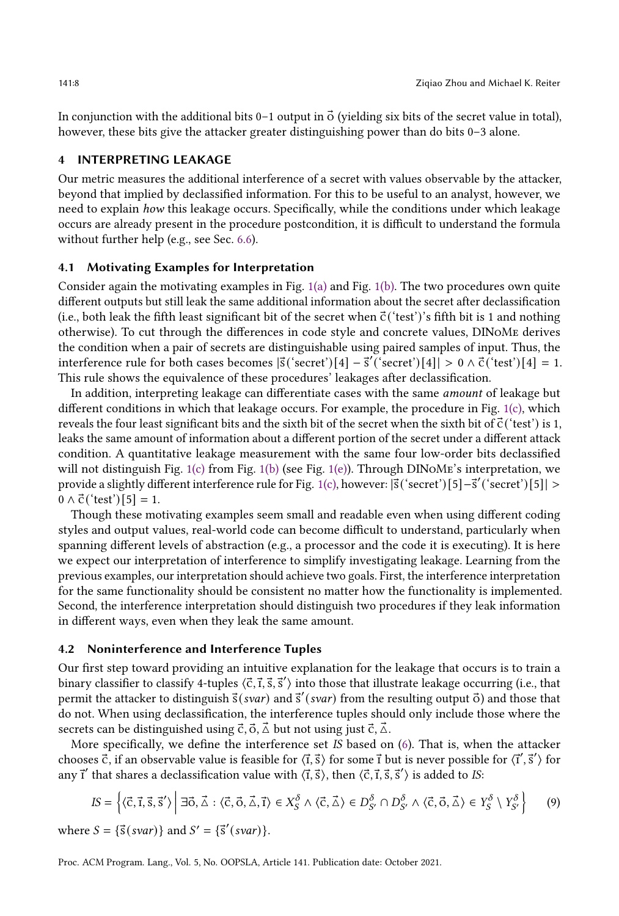In conjunction with the additional bits  $0-1$  output in  $\vec{O}$  (yielding six bits of the secret value in total), however, these bits give the attacker greater distinguishing power than do bits  $0-3$  alone.

# <span id="page-7-0"></span>4 INTERPRETING LEAKAGE

Our metric measures the additional interference of a secret with values observable by the attacker, beyond that implied by declassified information. For this to be useful to an analyst, however, we need to explain how this leakage occurs. Specifically, while the conditions under which leakage occurs are already present in the procedure postcondition, it is difficult to understand the formula without further help (e.g., see Sec. [6.6\)](#page-22-0).

#### 4.1 Motivating Examples for Interpretation

Consider again the motivating examples in Fig. [1\(a\)](#page-5-1) and Fig. [1\(b\).](#page-5-1) The two procedures own quite different outputs but still leak the same additional information about the secret after declassification (i.e., both leak the fifth least significant bit of the secret when  $\vec{c}$  ('test')'s fifth bit is 1 and nothing otherwise). To cut through the differences in code style and concrete values, DINoMe derives the condition when a pair of secrets are distinguishable using paired samples of input. Thus, the interference rule for both cases becomes  $|\vec{s}$  ('secret')  $[4] - \vec{s}'$  ('secret')  $[4]$  > 0  $\wedge$   $\vec{c}$  ('test')  $[4]$  = 1. This rule shows the equivalence of these procedures' leakages after declassification.

In addition, interpreting leakage can differentiate cases with the same amount of leakage but different conditions in which that leakage occurs. For example, the procedure in Fig. [1\(c\),](#page-5-1) which reveals the four least significant bits and the sixth bit of the secret when the sixth bit of  $\vec{c}$  ('test') is 1, leaks the same amount of information about a different portion of the secret under a different attack condition. A quantitative leakage measurement with the same four low-order bits declassified will not distinguish Fig. [1\(c\)](#page-5-1) from Fig. [1\(b\)](#page-5-1) (see Fig. [1\(e\)\)](#page-5-1). Through DINOME's interpretation, we provide a slightly different interference rule for Fig. [1\(c\),](#page-5-1) however:  $|\vec{s}|$  ('secret')[5]−s̃' ('secret')[5]| >  $0 \wedge \vec{c}$  ('test') [5] = 1.

Though these motivating examples seem small and readable even when using different coding styles and output values, real-world code can become difficult to understand, particularly when spanning different levels of abstraction (e.g., a processor and the code it is executing). It is here we expect our interpretation of interference to simplify investigating leakage. Learning from the previous examples, our interpretation should achieve two goals. First, the interference interpretation for the same functionality should be consistent no matter how the functionality is implemented. Second, the interference interpretation should distinguish two procedures if they leak information in different ways, even when they leak the same amount.

#### 4.2 Noninterference and Interference Tuples

Our first step toward providing an intuitive explanation for the leakage that occurs is to train a binary classifier to classify 4-tuples  $\langle \vec{c}, \vec{r}, \vec{s}, \vec{s}' \rangle$  into those that illustrate leakage occurring (i.e., that permit the attacker to distinguish  $\vec{s}(svar)$  and  $\vec{s}'(svar)$  from the resulting output  $\vec{o}$ ) and those that do not. When using declassification, the interference tuples should only include those where the secrets can be distinguished using  $\vec{c}, \vec{0}, \vec{\Delta}$  but not using just  $\vec{c}, \vec{\Delta}$ .

More specifically, we define the interference set IS based on  $(6)$ . That is, when the attacker chooses  $\vec{c}$ , if an observable value is feasible for  $\langle \vec{r}, \vec{s} \rangle$  for some  $\vec{r}$  but is never possible for  $\langle \vec{r}', \vec{s}' \rangle$  for any  $\vec{i}'$  that shares a declassification value with  $\langle \vec{t}, \vec{s} \rangle$ , then  $\langle \vec{c}, \vec{t}, \vec{s}, \vec{s}' \rangle$  is added to IS:

<span id="page-7-1"></span>
$$
IS = \left\{ \langle \vec{c}, \vec{1}, \vec{s}, \vec{s}' \rangle \middle| \exists \vec{o}, \vec{\Delta} : \langle \vec{c}, \vec{o}, \vec{\Delta}, \vec{1} \rangle \in X_S^{\delta} \land \langle \vec{c}, \vec{\Delta} \rangle \in D_{S'}^{\delta} \cap D_{S'}^{\delta} \land \langle \vec{c}, \vec{o}, \vec{\Delta} \rangle \in Y_S^{\delta} \setminus Y_{S'}^{\delta} \right\}
$$
(9)

where  $S = {\vec{s}(svar)}$  and  $S' = {\vec{s}'(svar)}$ .

Proc. ACM Program. Lang., Vol. 5, No. OOPSLA, Article 141. Publication date: October 2021.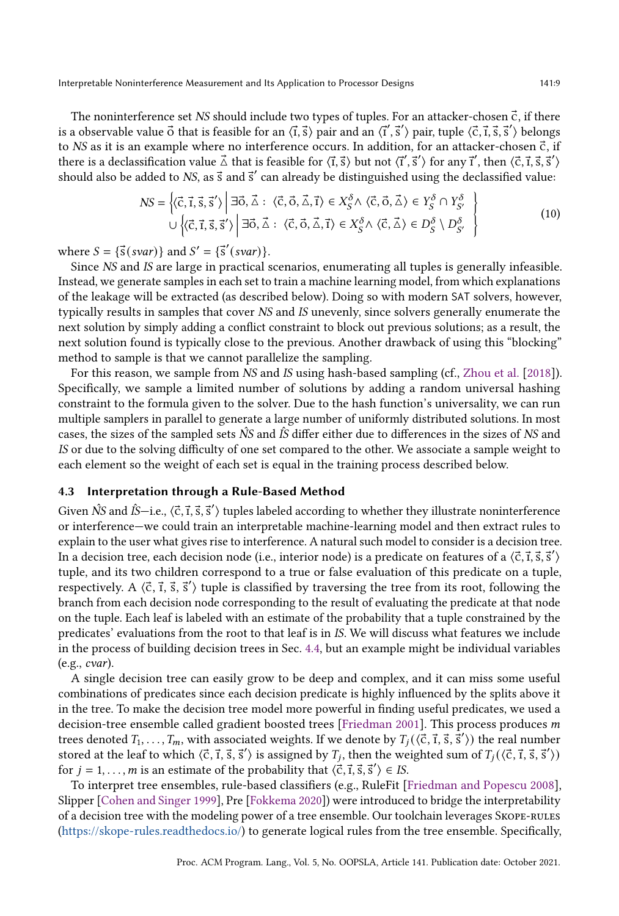The noninterference set  $NS$  should include two types of tuples. For an attacker-chosen  $\vec{c}$ , if there is a observable value  $\vec{o}$  that is feasible for an  $\langle \vec{t}, \vec{s} \rangle$  pair and an  $\langle \vec{t}', \vec{s}' \rangle$  pair, tuple  $\langle \vec{c}, \vec{t}, \vec{s}, \vec{s}' \rangle$  belongs to NS as it is an example where no interference occurs. In addition, for an attacker-chosen  $\vec{c}$ , if there is a declassification value  $\vec{\triangle}$  that is feasible for  $\langle \vec{t}, \vec{s} \rangle$  but not  $\langle \vec{t}', \vec{s}' \rangle$  for any  $\vec{t}',$  then  $\langle \vec{c}, \vec{t}, \vec{s}, \vec{s}' \rangle$ should also be added to NS, as  $\vec{s}$  and  $\vec{s}'$  can already be distinguished using the declassified value:

<span id="page-8-1"></span>
$$
NS = \left\{ \langle \vec{c}, \vec{1}, \vec{s}, \vec{s}' \rangle \middle| \exists \vec{o}, \vec{\Delta} : \langle \vec{c}, \vec{o}, \vec{\Delta}, \vec{1} \rangle \in X_S^{\delta} \land \langle \vec{c}, \vec{o}, \vec{\Delta} \rangle \in Y_S^{\delta} \cap Y_{S'}^{\delta} \right\}
$$
  

$$
\cup \left\{ \langle \vec{c}, \vec{1}, \vec{s}, \vec{s}' \rangle \middle| \exists \vec{o}, \vec{\Delta} : \langle \vec{c}, \vec{o}, \vec{\Delta}, \vec{1} \rangle \in X_S^{\delta} \land \langle \vec{c}, \vec{\Delta} \rangle \in D_S^{\delta} \setminus D_{S'}^{\delta} \right\}
$$
(10)

where  $S = {\vec{s}(svar)}$  and  $S' = {\vec{s}'(svar)}$ .

Since NS and IS are large in practical scenarios, enumerating all tuples is generally infeasible. Instead, we generate samples in each set to train a machine learning model, from which explanations of the leakage will be extracted (as described below). Doing so with modern SAT solvers, however, typically results in samples that cover NS and IS unevenly, since solvers generally enumerate the next solution by simply adding a conflict constraint to block out previous solutions; as a result, the next solution found is typically close to the previous. Another drawback of using this "blocking" method to sample is that we cannot parallelize the sampling.

For this reason, we sample from NS and IS using hash-based sampling (cf., [Zhou et al.](#page-29-2) [\[2018\]](#page-29-2)). Specifically, we sample a limited number of solutions by adding a random universal hashing constraint to the formula given to the solver. Due to the hash function's universality, we can run multiple samplers in parallel to generate a large number of uniformly distributed solutions. In most cases, the sizes of the sampled sets  $\hat{N}S$  and  $\hat{I}S$  differ either due to differences in the sizes of  $NS$  and IS or due to the solving difficulty of one set compared to the other. We associate a sample weight to each element so the weight of each set is equal in the training process described below.

#### <span id="page-8-0"></span>4.3 Interpretation through a Rule-Based Method

Given  $\hat{N}$ S and  $\hat{I}$ S—i.e.,  $\langle \vec{\text{c}}, \vec{\text{1}}, \vec{\text{s}}, \vec{\text{s}}'\rangle$  tuples labeled according to whether they illustrate noninterference or interference—we could train an interpretable machine-learning model and then extract rules to explain to the user what gives rise to interference. A natural such model to consider is a decision tree. In a decision tree, each decision node (i.e., interior node) is a predicate on features of a  $\langle \vec{c}, \vec{\imath}, \vec{s}, \vec{s}' \rangle$ tuple, and its two children correspond to a true or false evaluation of this predicate on a tuple, respectively. A  $\langle \vec{c}, \vec{\imath}, \vec{s}, \vec{s}' \rangle$  tuple is classified by traversing the tree from its root, following the branch from each decision node corresponding to the result of evaluating the predicate at that node on the tuple. Each leaf is labeled with an estimate of the probability that a tuple constrained by the predicates' evaluations from the root to that leaf is in IS. We will discuss what features we include in the process of building decision trees in Sec. [4.4,](#page-9-0) but an example might be individual variables (e.g., cvar).

A single decision tree can easily grow to be deep and complex, and it can miss some useful combinations of predicates since each decision predicate is highly influenced by the splits above it in the tree. To make the decision tree model more powerful in finding useful predicates, we used a decision-tree ensemble called gradient boosted trees [\[Friedman 2001\]](#page-27-19). This process produces  $m$ trees denoted  $T_1, \ldots, T_m$ , with associated weights. If we denote by  $T_j(\langle \vec{c}, \vec{\textbf{i}}, \vec{s}, \vec{\textbf{s}}'\rangle)$  the real number stored at the leaf to which  $\langle \vec{c}, \vec{\iota}, \vec{s}, \vec{s}' \rangle$  is assigned by  $T_j$ , then the weighted sum of  $T_j(\langle \vec{c}, \vec{\iota}, \vec{s}, \vec{s}' \rangle)$ for  $j = 1, ..., m$  is an estimate of the probability that  $\langle \vec{c}, \vec{\imath}, \vec{s}, \vec{s}' \rangle \in IS$ .

To interpret tree ensembles, rule-based classifiers (e.g., RuleFit [\[Friedman and Popescu 2008\]](#page-27-18), Slipper [\[Cohen and Singer 1999\]](#page-27-20), Pre [\[Fokkema 2020\]](#page-27-21)) were introduced to bridge the interpretability of a decision tree with the modeling power of a tree ensemble. Our toolchain leverages Skope-rules [\(https://skope-rules.readthedocs.io/\)](https://skope-rules.readthedocs.io/) to generate logical rules from the tree ensemble. Specifically,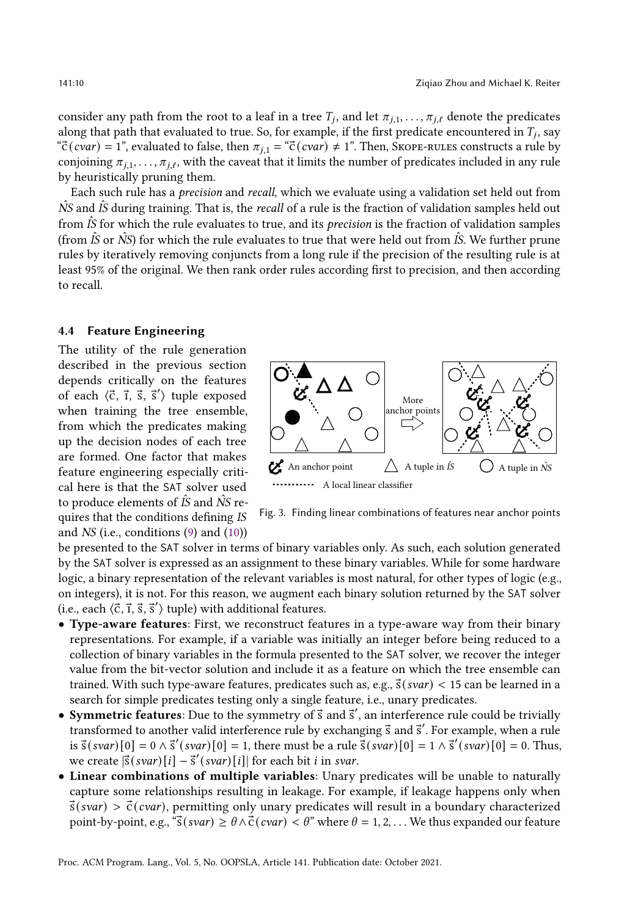consider any path from the root to a leaf in a tree  $T_j$ , and let  $\pi_{j,1},\ldots,\pi_{j,\ell}$  denote the predicates along that path that evaluated to true. So, for example, if the first predicate encountered in  $T_j$ , say  $\text{``c'}(cvar) = 1$ ", evaluated to false, then  $\pi_{i,1} = \text{``c'}(cvar) \neq 1$ ". Then, Skope-rules constructs a rule by conjoining  $\pi_{i,1}, \ldots, \pi_{i,\ell}$ , with the caveat that it limits the number of predicates included in any rule by heuristically pruning them.

Each such rule has a precision and recall, which we evaluate using a validation set held out from  $\hat{N}S$  and  $\hat{S}$  during training. That is, the *recall* of a rule is the fraction of validation samples held out from  $\hat{I}S$  for which the rule evaluates to true, and its *precision* is the fraction of validation samples (from  $\hat{I}S$  or  $\hat{N}S$ ) for which the rule evaluates to true that were held out from  $\hat{I}S$ . We further prune rules by iteratively removing conjuncts from a long rule if the precision of the resulting rule is at least 95% of the original. We then rank order rules according first to precision, and then according to recall.

### <span id="page-9-0"></span>4.4 Feature Engineering

The utility of the rule generation described in the previous section depends critically on the features of each  $\langle \vec{c}, \vec{i}, \vec{s}, \vec{s}' \rangle$  tuple exposed when training the tree ensemble, from which the predicates making up the decision nodes of each tree are formed. One factor that makes feature engineering especially critical here is that the SAT solver used to produce elements of  $\hat{I}S$  and  $\hat{N}S$  requires that the conditions defining IS and NS (i.e., conditions [\(9\)](#page-7-1) and [\(10\)](#page-8-1))

<span id="page-9-1"></span>

Fig. 3. Finding linear combinations of features near anchor points

be presented to the SAT solver in terms of binary variables only. As such, each solution generated by the SAT solver is expressed as an assignment to these binary variables. While for some hardware logic, a binary representation of the relevant variables is most natural, for other types of logic (e.g., on integers), it is not. For this reason, we augment each binary solution returned by the SAT solver (i.e., each  $\langle \vec{c}, \vec{\imath}, \vec{s}, \vec{s}' \rangle$  tuple) with additional features.

- Type-aware features: First, we reconstruct features in a type-aware way from their binary representations. For example, if a variable was initially an integer before being reduced to a collection of binary variables in the formula presented to the SAT solver, we recover the integer value from the bit-vector solution and include it as a feature on which the tree ensemble can trained. With such type-aware features, predicates such as, e.g.,  $\vec{s}(svar) < 15$  can be learned in a search for simple predicates testing only a single feature, i.e., unary predicates.
- Symmetric features: Due to the symmetry of  $\vec{s}$  and  $\vec{s}'$ , an interference rule could be trivially transformed to another valid interference rule by exchanging  $\vec{s}$  and  $\vec{s}'$ . For example, when a rule is  $\vec{s}(svar)[0] = 0 \wedge \vec{s}'(svar)[0] = 1$ , there must be a rule  $\vec{s}(svar)[0] = 1 \wedge \vec{s}'(svar)[0] = 0$ . Thus, we create  $\vec{s}(svar)[i] - \vec{s}'(svar)[i]$  for each bit *i* in svar.
- Linear combinations of multiple variables: Unary predicates will be unable to naturally capture some relationships resulting in leakage. For example, if leakage happens only when  $\vec{s}(svar) > \vec{c}(cvar)$ , permitting only unary predicates will result in a boundary characterized point-by-point, e.g., " $\vec{s}(svar) \geq \theta \wedge \vec{c}(svar) < \theta$ " where  $\theta = 1, 2, \dots$  We thus expanded our feature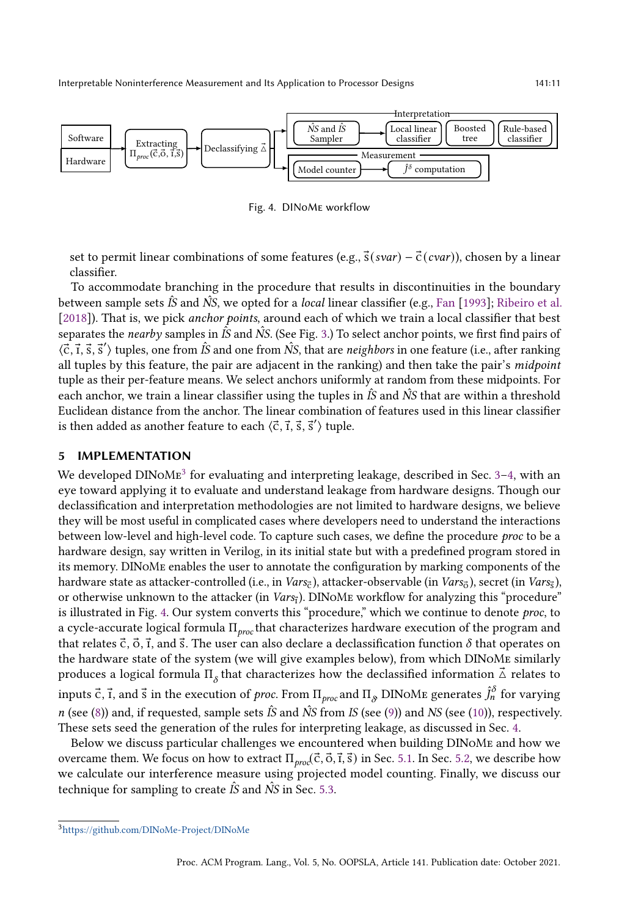<span id="page-10-2"></span>

Fig. 4. DINoMe workflow

set to permit linear combinations of some features (e.g.,  $\vec{s}(svar) - \vec{c}(cvar)$ ), chosen by a linear classifier.

To accommodate branching in the procedure that results in discontinuities in the boundary between sample sets IS and NS, we opted for a *local* linear classifier (e.g., [Fan](#page-27-22) [\[1993\]](#page-27-22); [Ribeiro et al.](#page-28-23) [\[2018\]](#page-28-23)). That is, we pick *anchor points*, around each of which we train a local classifier that best separates the *nearby* samples in  $\hat{IS}$  and  $\hat{NS}$ . (See Fig. [3.](#page-9-1)) To select anchor points, we first find pairs of  $\langle \vec{c}, \vec{r}, \vec{s}, \vec{s}' \rangle$  tuples, one from  $\hat{IS}$  and one from  $\hat{NS}$ , that are neighbors in one feature (i.e., after ranking all tuples by this feature, the pair are adjacent in the ranking) and then take the pair's midpoint tuple as their per-feature means. We select anchors uniformly at random from these midpoints. For each anchor, we train a linear classifier using the tuples in  $\hat{IS}$  and  $\hat{NS}$  that are within a threshold Euclidean distance from the anchor. The linear combination of features used in this linear classifier is then added as another feature to each  $\langle \vec{\mathsf{c}}, \vec{\mathsf{i}}, \vec{\mathsf{s}}, \vec{\mathsf{s}}' \rangle$  tuple.

# <span id="page-10-0"></span>5 IMPLEMENTATION

We developed  $\text{DINoMg}^3$  $\text{DINoMg}^3$  for evaluating and interpreting leakage, described in Sec. 3–[4,](#page-7-0) with an eye toward applying it to evaluate and understand leakage from hardware designs. Though our declassification and interpretation methodologies are not limited to hardware designs, we believe they will be most useful in complicated cases where developers need to understand the interactions between low-level and high-level code. To capture such cases, we define the procedure proc to be a hardware design, say written in Verilog, in its initial state but with a predefined program stored in its memory. DINoMe enables the user to annotate the configuration by marking components of the hardware state as attacker-controlled (i.e., in *Vars<sub>c</sub>*), attacker-observable (in *Vars<sub>õ</sub>*), secret (in *Vars<sub>õ</sub>*), or otherwise unknown to the attacker (in  $\textit{Vars}_{\textit{i}}$ ). DINOME workflow for analyzing this "procedure" is illustrated in Fig. [4.](#page-10-2) Our system converts this "procedure," which we continue to denote proc, to a cycle-accurate logical formula  $\Pi_{proc}$  that characterizes hardware execution of the program and that relates  $\vec{c}$ ,  $\vec{o}$ ,  $\vec{r}$ , and  $\vec{s}$ . The user can also declare a declassification function  $\delta$  that operates on the hardware state of the system (we will give examples below), from which DINoMe similarly produces a logical formula  $\Pi_{\delta}$  that characterizes how the declassified information  $\vec{\Delta}$  relates to inputs  $\vec{\rm c}$ ,  $\vec{\rm r}$ , and  $\vec{\rm s}$  in the execution of  $proc$ . From  $\Pi _{proc}$  and  $\Pi _{\cal S}$  DINoMe generates  $\hat{J}^\delta_n$  for varying n (see [\(8\)](#page-6-2)) and, if requested, sample sets  $\hat{I}S$  and  $\hat{N}S$  from IS (see [\(9\)](#page-7-1)) and NS (see [\(10\)](#page-8-1)), respectively. These sets seed the generation of the rules for interpreting leakage, as discussed in Sec. [4.](#page-7-0)

Below we discuss particular challenges we encountered when building DINoMe and how we overcame them. We focus on how to extract  $\Pi_{proj}(\vec{c}, \vec{0}, \vec{1}, \vec{s})$  in Sec. [5.1.](#page-11-0) In Sec. [5.2,](#page-12-0) we describe how we calculate our interference measure using projected model counting. Finally, we discuss our technique for sampling to create  $\hat{I}S$  and  $\hat{N}S$  in Sec. [5.3.](#page-13-0)

<span id="page-10-1"></span><sup>3</sup><https://github.com/DINoMe-Project/DINoMe>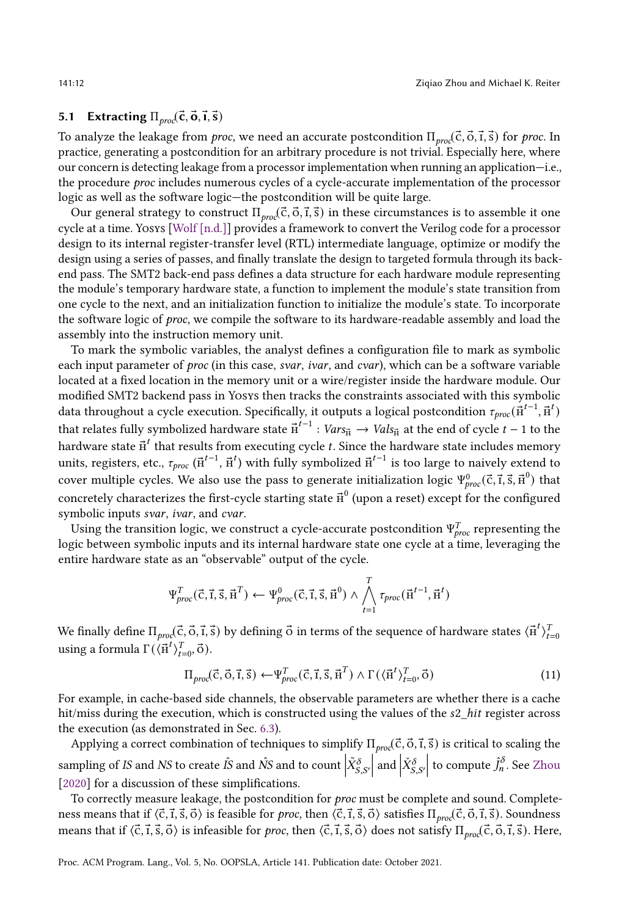### <span id="page-11-0"></span>5.1 Extracting  $\Pi_{proc}(\vec{c}, \vec{o}, \vec{l}, \vec{s})$

To analyze the leakage from *proc*, we need an accurate postcondition  $\Pi_{proc}(\vec{c}, \vec{o}, \vec{t}, \vec{s})$  for *proc*. In practice, generating a postcondition for an arbitrary procedure is not trivial. Especially here, where our concern is detecting leakage from a processor implementation when running an application–i.e., the procedure *proc* includes numerous cycles of a cycle-accurate implementation of the processor logic as well as the software logic-the postcondition will be quite large.

Our general strategy to construct  $\Pi_{proc}(\vec{c}, \vec{0}, \vec{1}, \vec{s})$  in these circumstances is to assemble it one cycle at a time. Yosys [\[Wolf \[n.d.\]\]](#page-28-24) provides a framework to convert the Verilog code for a processor design to its internal register-transfer level (RTL) intermediate language, optimize or modify the design using a series of passes, and finally translate the design to targeted formula through its backend pass. The SMT2 back-end pass defines a data structure for each hardware module representing the module's temporary hardware state, a function to implement the module's state transition from one cycle to the next, and an initialization function to initialize the module's state. To incorporate the software logic of proc, we compile the software to its hardware-readable assembly and load the assembly into the instruction memory unit.

To mark the symbolic variables, the analyst defines a configuration file to mark as symbolic each input parameter of *proc* (in this case, *svar*, *ivar*, and *cvar*), which can be a software variable located at a fixed location in the memory unit or a wire/register inside the hardware module. Our modified SMT2 backend pass in Yosys then tracks the constraints associated with this symbolic data throughout a cycle execution. Specifically, it outputs a logical postcondition  $\tau_{proc}(\vec{r}^{t-1},\vec{r}^t)$ that relates fully symbolized hardware state  ${\vec {\rm H}}^{t-1}: Vars_{\vec {\rm H}} \to Vals_{\vec {\rm H}}$  at the end of cycle  $t-1$  to the hardware state  ${\vec{\textbf{h}}}^t$  that results from executing cycle  $t.$  Since the hardware state includes memory units, registers, etc.,  $\tau_{proc}$  ( $\vec{\mu}^{t-1}$ ,  $\vec{\mu}^t)$  with fully symbolized  $\vec{\mu}^{t-1}$  is too large to naively extend to cover multiple cycles. We also use the pass to generate initialization logic  $\Psi_{proc}^0(\vec{c},\vec{1},\vec{s},\vec{n}^0)$  that concretely characterizes the first-cycle starting state  ${\vec {\rm H}}^{0}$  (upon a reset) except for the configured symbolic inputs svar, ivar, and cvar.

Using the transition logic, we construct a cycle-accurate postcondition  $\Psi^T_{proc}$  representing the logic between symbolic inputs and its internal hardware state one cycle at a time, leveraging the entire hardware state as an "observable" output of the cycle.

$$
\Psi_{proc}^T(\vec{c}, \vec{t}, \vec{s}, \vec{H}^T) \leftarrow \Psi_{proc}^0(\vec{c}, \vec{t}, \vec{s}, \vec{H}^0) \wedge \bigwedge_{t=1}^T \tau_{proc}(\vec{H}^{t-1}, \vec{H}^t)
$$

We finally define  $\Pi_{proc}(\vec{c},\vec{o},\vec{t},\vec{s})$  by defining  $\vec{o}$  in terms of the sequence of hardware states  $\langle \vec{n}^t \rangle_{t=0}^T$ using a formula  $\Gamma(\langle \vec{H}^t \rangle_{t=0}^T, \vec{o}).$ 

<span id="page-11-1"></span>
$$
\Pi_{\text{proc}}(\vec{c}, \vec{o}, \vec{t}, \vec{s}) \leftarrow \Psi_{\text{proc}}^T(\vec{c}, \vec{t}, \vec{s}, \vec{H}^T) \wedge \Gamma(\langle \vec{H}^t \rangle_{t=0}^T, \vec{o}) \tag{11}
$$

For example, in cache-based side channels, the observable parameters are whether there is a cache hit/miss during the execution, which is constructed using the values of the s2\_hit register across the execution (as demonstrated in Sec. [6.3\)](#page-17-0).

Applying a correct combination of techniques to simplify  $\Pi_{proc}(\vec{c}, \vec{o}, \vec{t}, \vec{s})$  is critical to scaling the sampling of IS and NS to create  $\hat{I}S$  and  $\hat{N}S$  and to count  $\left| \tilde{X}_{S,S'}^{\delta} \right|$  $\int$  and  $\dot{X}^{\delta}_{S,S'}$ to compute  $\hat{J}_n^{\delta}$ . See [Zhou](#page-29-5) [\[2020\]](#page-29-5) for a discussion of these simplifications.

To correctly measure leakage, the postcondition for *proc* must be complete and sound. Completeness means that if  $\langle \vec{c}, \vec{i}, \vec{s}, \vec{o} \rangle$  is feasible for *proc*, then  $\langle \vec{c}, \vec{i}, \vec{s}, \vec{o} \rangle$  satisfies  $\Pi_{proc}(\vec{c}, \vec{o}, \vec{i}, \vec{s})$ . Soundness means that if  $\langle \vec{c}, \vec{1}, \vec{3}, \vec{O} \rangle$  is infeasible for *proc*, then  $\langle \vec{c}, \vec{1}, \vec{3}, \vec{O} \rangle$  does not satisfy  $\Pi_{prop}(\vec{c}, \vec{O}, \vec{1}, \vec{3})$ . Here,

Proc. ACM Program. Lang., Vol. 5, No. OOPSLA, Article 141. Publication date: October 2021.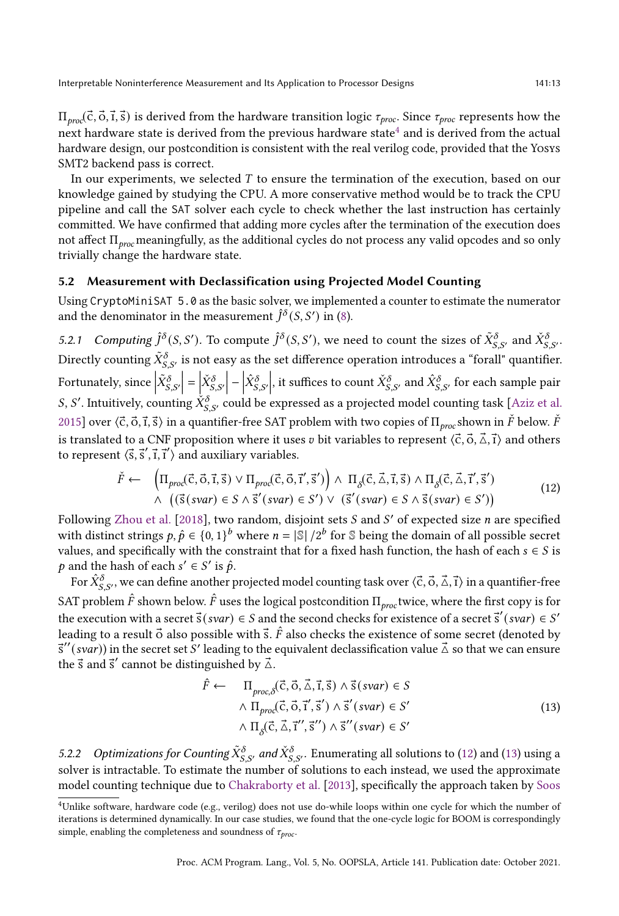$\Pi_{prop}(\vec{c}, \vec{b}, \vec{t}, \vec{s})$  is derived from the hardware transition logic  $\tau_{proc}$ . Since  $\tau_{proc}$  represents how the  ${\rm next}$  hardware state is derived from the previous hardware state $^4$  $^4$  and is derived from the actual hardware design, our postcondition is consistent with the real verilog code, provided that the Yosys SMT2 backend pass is correct.

In our experiments, we selected  $T$  to ensure the termination of the execution, based on our knowledge gained by studying the CPU. A more conservative method would be to track the CPU pipeline and call the SAT solver each cycle to check whether the last instruction has certainly committed. We have confirmed that adding more cycles after the termination of the execution does not affect  $\Pi_{proc}$  meaningfully, as the additional cycles do not process any valid opcodes and so only trivially change the hardware state.

#### <span id="page-12-0"></span>5.2 Measurement with Declassification using Projected Model Counting

Using CryptoMiniSAT 5.0 as the basic solver, we implemented a counter to estimate the numerator and the denominator in the measurement  $\hat{J}^\delta(S,S')$  in [\(8\)](#page-6-2).

5.2.1 Computing  $\hat{J}^{\delta}(S, S')$ . To compute  $\hat{J}^{\delta}(S, S')$ , we need to count the sizes of  $\tilde{X}_{S, S'}^{\delta}$  and  $\check{X}_{S, S'}^{\delta}$ . Directly counting  $\tilde X^\delta_{S,S'}$  is not easy as the set difference operation introduces a "forall" quantifier. Fortunately, since  $\left|\tilde{X}_{S,S^{\prime}}^{\delta}\right|$  $= \begin{vmatrix} \check X^\delta_{S,S'} \end{vmatrix}$  $\left| \hat{X}_{S,S}^{\delta}\right|$ , it suffices to count  $\check X^\delta_{S,S'}$  and  $\hat X^\delta_{S,S'}$  for each sample pair *S*, *S'*. Intuitively, counting  $\check{X}^{\delta}_{S,S'}$  could be expressed as a projected model counting task [\[Aziz et al.](#page-26-8) [2015\]](#page-26-8) over  $\langle \vec{c}, \vec{o}, \vec{r}, \vec{s} \rangle$  in a quantifier-free SAT problem with two copies of  $\Pi_{p\alpha\alpha}$ shown in  $\check{F}$  below.  $\check{F}$ is translated to a CNF proposition where it uses v bit variables to represent  $\langle \vec{c}, \vec{o}, \vec{\Delta}, \vec{r} \rangle$  and others to represent  $\langle \vec{s}, \vec{s}', \vec{\imath}, \vec{\imath}' \rangle$  and auxiliary variables.

$$
\check{F} \leftarrow \left(\Pi_{\text{proc}}(\vec{c}, \vec{o}, \vec{t}, \vec{s}) \lor \Pi_{\text{proc}}(\vec{c}, \vec{o}, \vec{t}', \vec{s}')\right) \land \Pi_{\delta}(\vec{c}, \vec{\Delta}, \vec{t}, \vec{s}) \land \Pi_{\delta}(\vec{c}, \vec{\Delta}, \vec{t}', \vec{s}') \land \left(\left(\vec{s}(svar) \in S \land \vec{s}'(svar) \in S'\right) \lor \left(\vec{s}'(svar) \in S \land \vec{s}(svar) \in S'\right)\right)
$$
\n(12)

Following [Zhou et al.](#page-29-2) [\[2018\]](#page-29-2), two random, disjoint sets  $S$  and  $S'$  of expected size  $n$  are specified with distinct strings  $p, \hat{p} \in \{0, 1\}^b$  where  $n = |\mathbb{S}| / 2^b$  for  $\mathbb S$  being the domain of all possible secret values, and specifically with the constraint that for a fixed hash function, the hash of each  $s \in S$  is p and the hash of each  $s' \in S'$  is  $\hat{p}$ .

For  $\hat X^\delta_{S,S'}$ , we can define another projected model counting task over  $\langle\vec{\rm c},\vec{\rm o},\vec{\rm \Delta},\vec{\rm 1}\rangle$  in a quantifier-free SAT problem  $\hat{F}$  shown below.  $\hat{F}$  uses the logical postcondition  $\Pi_{proc}$  twice, where the first copy is for the execution with a secret  $\vec{s}(svar) \in S$  and the second checks for existence of a secret  $\vec{s}'(svar) \in S'$ leading to a result  $\vec{o}$  also possible with  $\vec{s}$ .  $\hat{F}$  also checks the existence of some secret (denoted by  $\vec{s}''(svar)$ ) in the secret set S' leading to the equivalent declassification value  $\vec{\triangle}$  so that we can ensure the  $\vec{s}$  and  $\vec{s}'$  cannot be distinguished by  $\vec{\triangle}$ .

<span id="page-12-3"></span><span id="page-12-2"></span>
$$
\hat{F} \leftarrow \Pi_{proc,\delta}(\vec{c}, \vec{o}, \vec{\Delta}, \vec{t}, \vec{s}) \land \vec{s}(svar) \in S \land \Pi_{proc}(\vec{c}, \vec{o}, \vec{t}', \vec{s}') \land \vec{s}'(svar) \in S' \land \Pi_{\delta}(\vec{c}, \vec{\Delta}, \vec{t}'', \vec{s}'') \land \vec{s}''(svar) \in S' \n(13)
$$

5.2.2 Optimizations for Counting  $\tilde{X}_{S,S'}^{\delta}$  and  $\check{X}_{S,S'}^{\delta}$ . Enumerating all solutions to [\(12\)](#page-12-2) and [\(13\)](#page-12-3) using a solver is intractable. To estimate the number of solutions to each instead, we used the approximate model counting technique due to [Chakraborty et al.](#page-26-9) [\[2013\]](#page-26-9), specifically the approach taken by [Soos](#page-28-25)

<span id="page-12-1"></span><sup>4</sup>[Unlike software, hardware code \(e.g., verilog\) does not use do-while loops within one cycle for which the number of](#page-28-25) [iterations is determined dynamically. In our case studies, we found that the one-cycle logic for](#page-28-25) BOOM is correspondingly [simple, enabling the completeness and soundness of](#page-28-25)  $\tau_{\text{proc}}$ .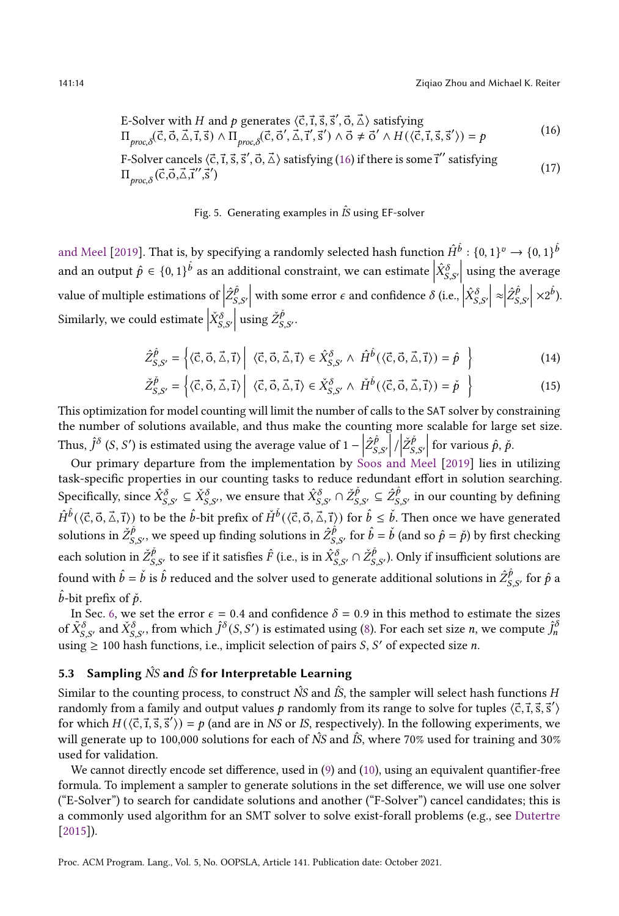E-Solver with *H* and *p* generates 
$$
\langle \vec{c}, \vec{1}, \vec{s}, \vec{s}', \vec{o}, \vec{\Delta} \rangle
$$
 satisfying  
\n
$$
\Pi_{\text{proc}, \delta}(\vec{c}, \vec{o}, \vec{\Delta}, \vec{1}, \vec{s}) \land \Pi_{\text{proc}, \delta}(\vec{c}, \vec{o}', \vec{\Delta}, \vec{1}', \vec{s}') \land \vec{o} \neq \vec{o}' \land H(\langle \vec{c}, \vec{1}, \vec{s}, \vec{s}' \rangle) = p
$$
\n(16)

F-Solver cancels 
$$
\langle \vec{c}, \vec{1}, \vec{s}, \vec{s}', \vec{o}, \vec{\Delta} \rangle
$$
 satisfying (16) if there is some  $\vec{1}''$  satisfying  $\Pi_{\text{proc}, \delta}(\vec{c}, \vec{o}, \vec{\Delta}, \vec{1}', \vec{s}')$  (17)

#### <span id="page-13-2"></span><span id="page-13-1"></span>Fig. 5. Generating examples in  $\hat{I}S$  using EF-solver

[and Meel](#page-28-25) [\[2019\]](#page-28-25). That is, by specifying a randomly selected hash function  $\hat{H}^{\hat{b}}:\{0,1\}^{v}\to\{0,1\}^{\hat{b}}$ and an output  $\hat{p} \in \{0,1\}^{\hat{b}}$  as an additional constraint, we can estimate  $\left|\hat{X}_{S,S'}^{\delta}\right|$  $\vert$  using the average value of multiple estimations of  $\left| \hat{Z}_\mathcal{S}^{\hat{p}} \right|$ ,′ with some error  $\epsilon$  and confidence  $\delta$  (i.e.,  $\left| \hat{X}_{S,S'}^{\delta} \right|$  $\left| \approx \hat{Z}_{S}^{\hat{p}} \right|$ ,′  $\propto$   $2^{b}$ ). Similarly, we could estimate  $\big| \dot{X}^{\dot\delta}_{S,S'}$  $\left| \begin{array}{c} 1 \end{array} \right|$  using  $\check{Z}_S^{\check{p}}$ .p<br>S,S' ·

$$
\hat{Z}_{S,S'}^{\hat{p}} = \left\{ \langle \vec{c}, \vec{o}, \vec{\Delta}, \vec{t} \rangle \middle| \langle \vec{c}, \vec{o}, \vec{\Delta}, \vec{t} \rangle \in \hat{X}_{S,S'}^{\delta} \land \hat{H}^{\hat{p}}(\langle \vec{c}, \vec{o}, \vec{\Delta}, \vec{t} \rangle) = \hat{p} \right\}
$$
(14)

$$
\check{Z}_{S,S'}^{\check{p}} = \left\{ \langle \vec{c}, \vec{o}, \vec{\Delta}, \vec{t} \rangle \middle| \langle \vec{c}, \vec{o}, \vec{\Delta}, \vec{t} \rangle \in \check{X}_{S,S'}^{\delta} \land \check{H}^{\check{b}}(\langle \vec{c}, \vec{o}, \vec{\Delta}, \vec{t} \rangle) = \check{p} \right\}
$$
(15)

This optimization for model counting will limit the number of calls to the SAT solver by constraining the number of solutions available, and thus make the counting more scalable for large set size. Thus,  $\hat{J}^{\delta}$  (*S*, *S'*) is estimated using the average value of  $1 - \left| \hat{Z}_{S}^{\hat{p}} \right|$ ,′  $\left| / \check{Z}_{S}^{\check{p}} \right|$  $S, S'$ for various  $\hat{p}, \check{p}$ .

Our primary departure from the implementation by [Soos and Meel](#page-28-25) [\[2019\]](#page-28-25) lies in utilizing task-specific properties in our counting tasks to reduce redundant effort in solution searching. Specifically, since  $\hat X^\delta_{S,S'}\subseteq \check X^\delta_{S,S'}$ , we ensure that  $\hat X^\delta_{S,S'}\cap \check Z^\check p_{S,S'}\subseteq \hat Z^\hat p_S$  $\int_{S,S'}^p$  in our counting by defining  $\hat{H}^{\hat{b}}(\langle \vec{c}, \vec{o}, \vec{\Delta}, \vec{\tau} \rangle)$  to be the  $\hat{b}$ -bit prefix of  $\check{H}^{\check{b}}(\langle \vec{c}, \vec{o}, \vec{\Delta}, \vec{\tau} \rangle)$  for  $\hat{b} \leq \check{b}$ . Then once we have generated solutions in  $\check{Z}^{\check{p}}_{\mathcal{S}}$  $(\phi_{S,S'}, \phi)$ , we speed up finding solutions in  $\hat{Z}_{S,S'}^{\hat{P}}$  for  $\hat{b} = \check{b}$  (and so  $\hat{p} = \check{p}$ ) by first checking each solution in  $\check{Z}^{\check{p}}_{S,S'}$  to see if it satisfies  $\hat{F}$  (i.e., is in  $\hat{X}^{\delta}_{S,S'}\cap\check{Z}^{\check{p}}_{S,S'}).$  Only if insufficient solutions are found with  $\hat{b}=\check{b}$  is  $\hat{b}$  reduced and the solver used to generate additional solutions in  $\hat{Z}^{\hat{p}}_{S,S'}$  for  $\hat{p}$  a  $\hat{b}$ -bit prefix of  $\check{p}$ .

In Sec. [6,](#page-14-0) we set the error  $\epsilon = 0.4$  and confidence  $\delta = 0.9$  in this method to estimate the sizes of  $\tilde X^\delta_{S,S'}$  and  $\check X^\delta_{S,S'}$ , from which  $\hat J^\delta(S,S')$  is estimated using [\(8\)](#page-6-2). For each set size  $n$ , we compute  $\hat J^\delta_n$ using  $\geq 100$  hash functions, i.e., implicit selection of pairs S, S' of expected size n.

# <span id="page-13-0"></span>5.3 Sampling  $\hat{N}S$  and  $\hat{I}S$  for Interpretable Learning

Similar to the counting process, to construct  $\hat{N}S$  and  $\hat{I}S$ , the sampler will select hash functions H randomly from a family and output values p randomly from its range to solve for tuples  $\langle \vec{c}, \vec{\iota}, \vec{s}, \vec{s}' \rangle$ for which  $H(\langle \vec{c}, \vec{r}, \vec{s}, \vec{s}' \rangle) = p$  (and are in NS or IS, respectively). In the following experiments, we will generate up to 100,000 solutions for each of  $\hat{N}S$  and  $\hat{I}S$ , where 70% used for training and 30% used for validation.

We cannot directly encode set difference, used in [\(9\)](#page-7-1) and [\(10\)](#page-8-1), using an equivalent quantifier-free formula. To implement a sampler to generate solutions in the set difference, we will use one solver ("E-Solver") to search for candidate solutions and another ("F-Solver") cancel candidates; this is a commonly used algorithm for an SMT solver to solve exist-forall problems (e.g., see [Dutertre](#page-27-23) [\[2015\]](#page-27-23)).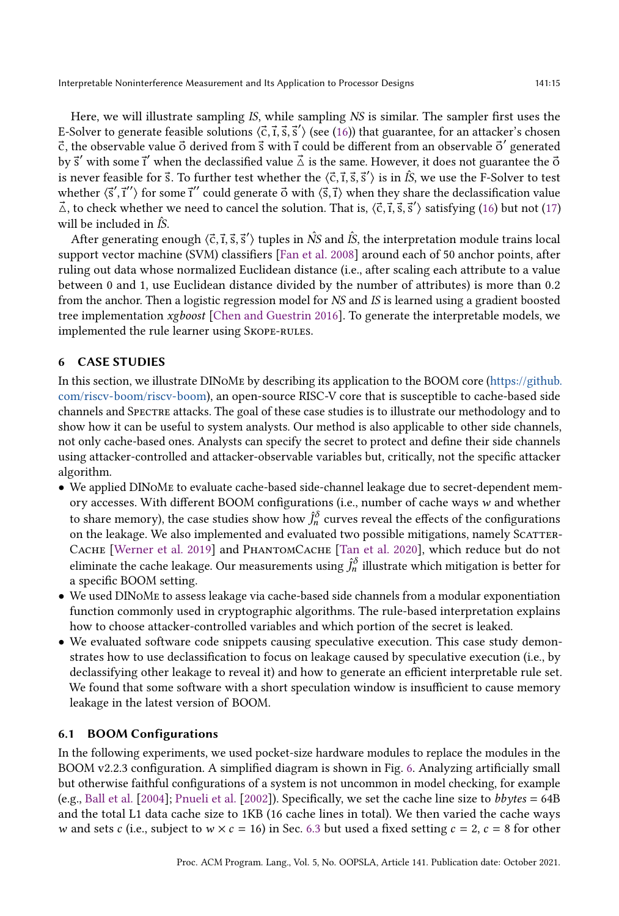Here, we will illustrate sampling IS, while sampling NS is similar. The sampler first uses the E-Solver to generate feasible solutions  $\langle \vec{c}, \vec{r}, \vec{s}, \vec{s}' \rangle$  (see [\(16\)](#page-13-1)) that guarantee, for an attacker's chosen  $\vec{c}$ , the observable value  $\vec{o}$  derived from  $\vec{s}$  with  $\vec{t}$  could be different from an observable  $\vec{o}'$  generated by  $\vec{s}'$  with some  $\vec{i}'$  when the declassified value  $\vec{\Delta}$  is the same. However, it does not guarantee the  $\vec{o}$ is never feasible for  $\vec{s}$ . To further test whether the  $\langle \vec{c}, \vec{\iota}, \vec{s}, \vec{s}' \rangle$  is in  $\hat{I}S$ , we use the F-Solver to test whether  $\langle \vec{s}', \vec{r}' \rangle$  for some  $\vec{r}''$  could generate  $\vec{o}$  with  $\langle \vec{s}, \vec{r} \rangle$  when they share the declassification value  $\vec{\triangle}$ , to check whether we need to cancel the solution. That is,  $\langle \vec{c}, \vec{t}, \vec{s}, \vec{s}' \rangle$  satisfying [\(16\)](#page-13-1) but not [\(17\)](#page-13-2) will be included in  $\hat{IS}$ .

After generating enough  $\langle \vec{c}, \vec{r}, \vec{s}, \vec{s}' \rangle$  tuples in  $\hat{N}$ S and  $\hat{I}$ S, the interpretation module trains local support vector machine (SVM) classifiers [\[Fan et al.](#page-27-24) [2008\]](#page-27-24) around each of 50 anchor points, after ruling out data whose normalized Euclidean distance (i.e., after scaling each attribute to a value between 0 and 1, use Euclidean distance divided by the number of attributes) is more than 0.2 from the anchor. Then a logistic regression model for NS and IS is learned using a gradient boosted tree implementation xgboost [\[Chen and Guestrin 2016\]](#page-27-25). To generate the interpretable models, we implemented the rule learner using Skope-rules.

# <span id="page-14-0"></span>6 CASE STUDIES

In this section, we illustrate DINoMe by describing its application to the BOOM core [\(https://github.](https://github.com/riscv-boom/riscv-boom) [com/riscv-boom/riscv-boom\)](https://github.com/riscv-boom/riscv-boom), an open-source RISC-V core that is susceptible to cache-based side channels and Spectre attacks. The goal of these case studies is to illustrate our methodology and to show how it can be useful to system analysts. Our method is also applicable to other side channels, not only cache-based ones. Analysts can specify the secret to protect and define their side channels using attacker-controlled and attacker-observable variables but, critically, not the specific attacker algorithm.

- We applied DINoMe to evaluate cache-based side-channel leakage due to secret-dependent memory accesses. With different BOOM configurations (i.e., number of cache ways  $w$  and whether to share memory), the case studies show how  $\hat{J}^{\delta}_n$  curves reveal the effects of the configurations on the leakage. We also implemented and evaluated two possible mitigations, namely SCATTER-CACHE [\[Werner et al.](#page-28-3) [2019\]](#page-28-3) and PHANTOMCACHE [\[Tan et al.](#page-28-1) [2020\]](#page-28-1), which reduce but do not eliminate the cache leakage. Our measurements using  $\hat{J}^{\delta}_n$  illustrate which mitigation is better for a specific BOOM setting.
- We used DINoMe to assess leakage via cache-based side channels from a modular exponentiation function commonly used in cryptographic algorithms. The rule-based interpretation explains how to choose attacker-controlled variables and which portion of the secret is leaked.
- We evaluated software code snippets causing speculative execution. This case study demonstrates how to use declassification to focus on leakage caused by speculative execution (i.e., by declassifying other leakage to reveal it) and how to generate an efficient interpretable rule set. We found that some software with a short speculation window is insufficient to cause memory leakage in the latest version of BOOM.

# 6.1 BOOM Configurations

In the following experiments, we used pocket-size hardware modules to replace the modules in the BOOM v2.2.3 configuration. A simplified diagram is shown in Fig. [6.](#page-15-0) Analyzing artificially small but otherwise faithful configurations of a system is not uncommon in model checking, for example (e.g., [Ball et al.](#page-26-10) [\[2004\]](#page-26-10); [Pnueli et al.](#page-28-26) [\[2002\]](#page-28-26)). Specifically, we set the cache line size to bbytes = 64B and the total L1 data cache size to 1KB (16 cache lines in total). We then varied the cache ways w and sets c (i.e., subject to  $w \times c = 16$ ) in Sec. [6.3](#page-17-0) but used a fixed setting  $c = 2$ ,  $c = 8$  for other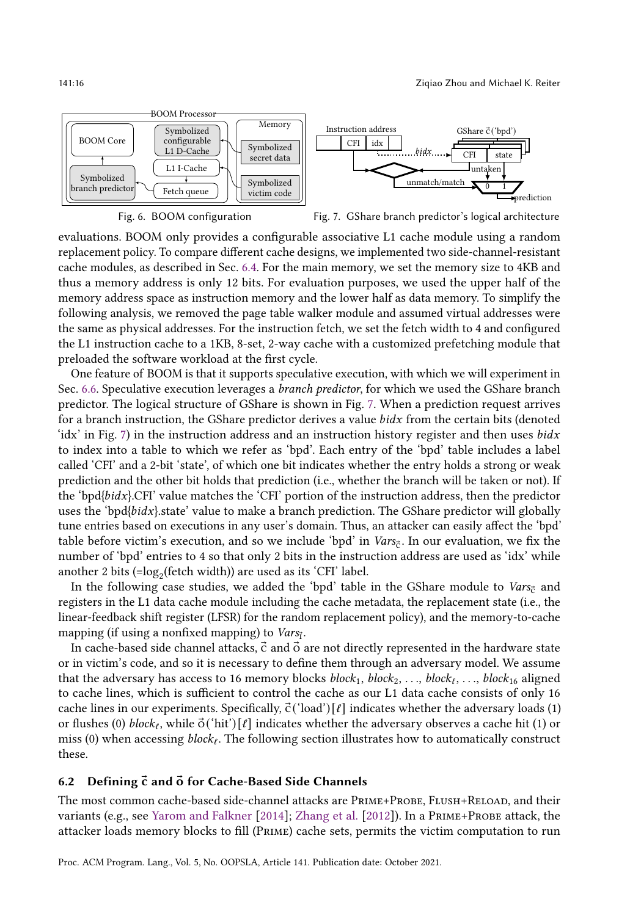<span id="page-15-0"></span>



Fig. 7. GShare branch predictor's logical architecture

evaluations. BOOM only provides a configurable associative L1 cache module using a random replacement policy. To compare different cache designs, we implemented two side-channel-resistant cache modules, as described in Sec. [6.4.](#page-18-0) For the main memory, we set the memory size to 4KB and thus a memory address is only 12 bits. For evaluation purposes, we used the upper half of the memory address space as instruction memory and the lower half as data memory. To simplify the following analysis, we removed the page table walker module and assumed virtual addresses were the same as physical addresses. For the instruction fetch, we set the fetch width to 4 and configured the L1 instruction cache to a 1KB, 8-set, 2-way cache with a customized prefetching module that preloaded the software workload at the first cycle.

One feature of BOOM is that it supports speculative execution, with which we will experiment in Sec. [6.6.](#page-22-0) Speculative execution leverages a branch predictor, for which we used the GShare branch predictor. The logical structure of GShare is shown in Fig. [7.](#page-15-0) When a prediction request arrives for a branch instruction, the GShare predictor derives a value  $b$ *idx* from the certain bits (denoted 'idx' in Fig. [7\)](#page-15-0) in the instruction address and an instruction history register and then uses  $bidx$ to index into a table to which we refer as 'bpd'. Each entry of the 'bpd' table includes a label called 'CFI' and a 2-bit 'state', of which one bit indicates whether the entry holds a strong or weak prediction and the other bit holds that prediction (i.e., whether the branch will be taken or not). If the 'bpd{bidx}.CFI' value matches the 'CFI' portion of the instruction address, then the predictor uses the 'bpd{ $bids$ ', state' value to make a branch prediction. The GShare predictor will globally tune entries based on executions in any user's domain. Thus, an attacker can easily affect the 'bpd' table before victim's execution, and so we include 'bpd' in  $\textit{Vars}_{\mathbf{\vec{c}}}$ . In our evaluation, we fix the number of 'bpd' entries to 4 so that only 2 bits in the instruction address are used as 'idx' while another 2 bits (= $\log_2$ (fetch width)) are used as its 'CFI' label.

In the following case studies, we added the 'bpd' table in the GShare module to Vars<sub>c</sub> and registers in the L1 data cache module including the cache metadata, the replacement state (i.e., the linear-feedback shift register (LFSR) for the random replacement policy), and the memory-to-cache mapping (if using a nonfixed mapping) to  $\textit{Vars}_{\textbf{i}}$ .

In cache-based side channel attacks,  $\vec{c}$  and  $\vec{o}$  are not directly represented in the hardware state or in victim's code, and so it is necessary to define them through an adversary model. We assume that the adversary has access to 16 memory blocks  $block_1, \, block_2, \, \ldots, \, block_\ell, \, \ldots, \, block_{16}$  aligned to cache lines, which is sufficient to control the cache as our L1 data cache consists of only 16 cache lines in our experiments. Specifically,  $\vec{c}$  ('load') [ $\ell$ ] indicates whether the adversary loads (1) or flushes (0)  $block_\ell$ , while  $\vec{o}('hit')[\ell]$  indicates whether the adversary observes a cache hit (1) or miss (0) when accessing  $block_{\ell}$ . The following section illustrates how to automatically construct these.

#### <span id="page-15-1"></span>6.2 Defining  $\vec{c}$  and  $\vec{o}$  for Cache-Based Side Channels

The most common cache-based side-channel attacks are Prime+Probe, Flush+Reload, and their variants (e.g., see [Yarom and Falkner](#page-28-5) [\[2014\]](#page-28-5); [Zhang et al.](#page-29-6) [\[2012\]](#page-29-6)). In a Prime+Probe attack, the attacker loads memory blocks to fill (Prime) cache sets, permits the victim computation to run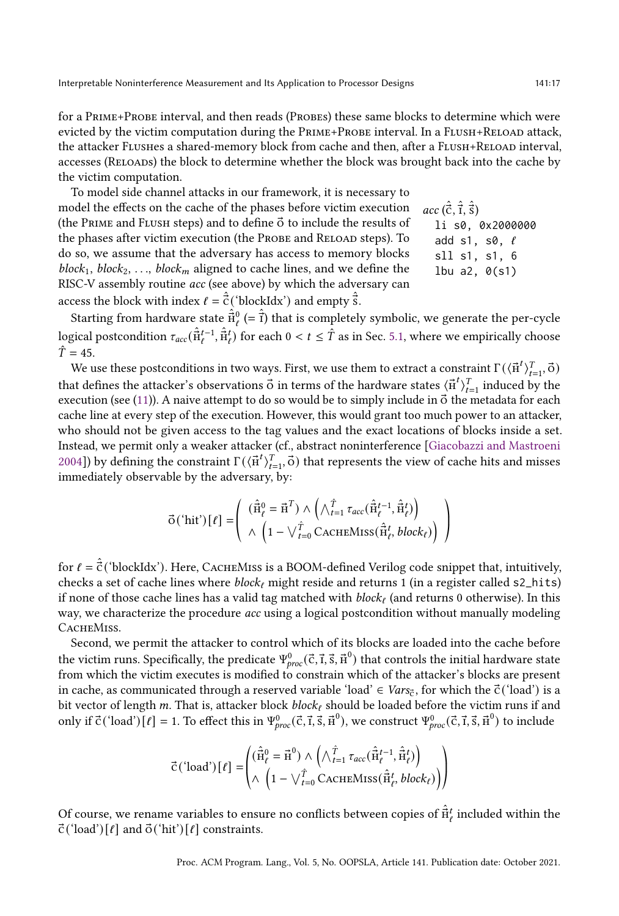for a PRIME+PROBE interval, and then reads (PROBES) these same blocks to determine which were evicted by the victim computation during the PRIME+PROBE interval. In a FLUSH+RELOAD attack, the attacker FLUSHes a shared-memory block from cache and then, after a FLUSH+RELOAD interval, accesses (Reloads) the block to determine whether the block was brought back into the cache by the victim computation.

To model side channel attacks in our framework, it is necessary to model the effects on the cache of the phases before victim execution (the PRIME and FLUSH steps) and to define  $\vec{o}$  to include the results of the phases after victim execution (the PROBE and RELOAD steps). To do so, we assume that the adversary has access to memory blocks  $block_1, block_2, ..., block_m$  aligned to cache lines, and we define the RISC-V assembly routine acc (see above) by which the adversary can access the block with index  $\ell = \hat{\vec{c}}$  ('blockIdx') and empty  $\hat{\vec{s}}$ .

 $acc\, (\hat{\vec{c}}, \hat{\vec{r}}, \hat{\vec{s}})$ li s0, 0x2000000 add s1, s0,  $\ell$ sll s1, s1, 6 lbu a2, 0(s1)

Starting from hardware state  $\hat{\vec{\pi}}_{\ell}^{0}$  (=  $\hat{\vec{\tau}}$ ) that is completely symbolic, we generate the per-cycle logical postcondition  $\tau_{acc}(\hat{\vec{H}}_t^{t-1},\hat{\vec{H}}_t^t)$  for each  $0 < t \leq \hat{T}$  as in Sec. [5.1,](#page-11-0) where we empirically choose  $\hat{T} = 45.$ 

We use these postconditions in two ways. First, we use them to extract a constraint  $\Gamma(\langle \vec{n}^t \rangle_{t=1}^T, \vec{o})$ that defines the attacker's observations  $\vec{o}$  in terms of the hardware states  $\langle \vec{H}^t \rangle_{t=1}^T$  induced by the execution (see [\(11\)](#page-11-1)). A naive attempt to do so would be to simply include in  $\vec{o}$  the metadata for each cache line at every step of the execution. However, this would grant too much power to an attacker, who should not be given access to the tag values and the exact locations of blocks inside a set. Instead, we permit only a weaker attacker (cf., abstract noninterference [\[Giacobazzi and Mastroeni](#page-27-26) [2004\]](#page-27-26)) by defining the constraint  $\Gamma(\langle \vec{n}^t \rangle_{t=1}^T, \vec{o})$  that represents the view of cache hits and misses immediately observable by the adversary, by:

$$
\vec{\mathbf{o}}(\hat{\mathbf{h}}\mathbf{it}')[\ell] = \left(\begin{array}{c} (\hat{\vec{\mathbf{h}}}_{\ell}^{0} = \vec{\mathbf{h}}^{T}) \wedge \left(\bigwedge_{t=1}^{\hat{T}} \tau_{acc}(\hat{\vec{\mathbf{h}}}_{\ell}^{t-1}, \hat{\vec{\mathbf{h}}}_{\ell}^{t})\right) \\ \wedge \left(1 - \bigvee_{t=0}^{\hat{T}} \text{CACHEMISS}(\hat{\vec{\mathbf{h}}}_{\ell}^{t}, block_{\ell})\right)\end{array}\right)
$$

for  $\ell = \hat{\vec{\mathsf{c}}}$  ('blockIdx'). Неге, СаснеMiss is a BOOM-defined Verilog code snippet that, intuitively, checks a set of cache lines where  $block_{\ell}$  might reside and returns 1 (in a register called s2\_hits) if none of those cache lines has a valid tag matched with  $block_\ell$  (and returns 0 otherwise). In this way, we characterize the procedure *acc* using a logical postcondition without manually modeling CACHEMISS.

Second, we permit the attacker to control which of its blocks are loaded into the cache before the victim runs. Specifically, the predicate  $\Psi_{proc}^0(\vec{c},\vec{t},\vec{s},\vec{h}^0)$  that controls the initial hardware state from which the victim executes is modified to constrain which of the attacker's blocks are present in cache, as communicated through a reserved variable 'load' ∈ *Vars* $_{\rm\vec{c}}$ , for which the  $\vec{c}$  ('load') is a bit vector of length  $m$ . That is, attacker block  $block_{\ell}$  should be loaded before the victim runs if and only if  $\vec{c}$  ('load')  $[\ell] = 1$ . To effect this in  $\Psi_{proc}^0(\vec{c}, \vec{\iota}, \vec{s}, \vec{H}^0)$ , we construct  $\Psi_{proc}^0(\vec{c}, \vec{\iota}, \vec{s}, \vec{H}^0)$  to include

$$
\vec{C}(\text{load'})[t] = \begin{pmatrix} (\hat{\vec{H}}_t^0 = \vec{H}^0) \wedge \left( \wedge_{t=1}^{\hat{T}} \tau_{acc} (\hat{\vec{H}}_t^{t-1}, \hat{\vec{H}}_t^t) \right) \\ \wedge \left( 1 - \vee_{t=0}^{\hat{T}} \text{CACHEMISS} (\hat{\vec{H}}_t^t, block_t) \right) \end{pmatrix}
$$

Of course, we rename variables to ensure no conflicts between copies of  $\hat{\vec{\pi}}^t_\ell$  included within the  $\vec{c}$  ('load')  $\lceil \ell \rceil$  and  $\vec{o}$  ('hit')  $\lceil \ell \rceil$  constraints.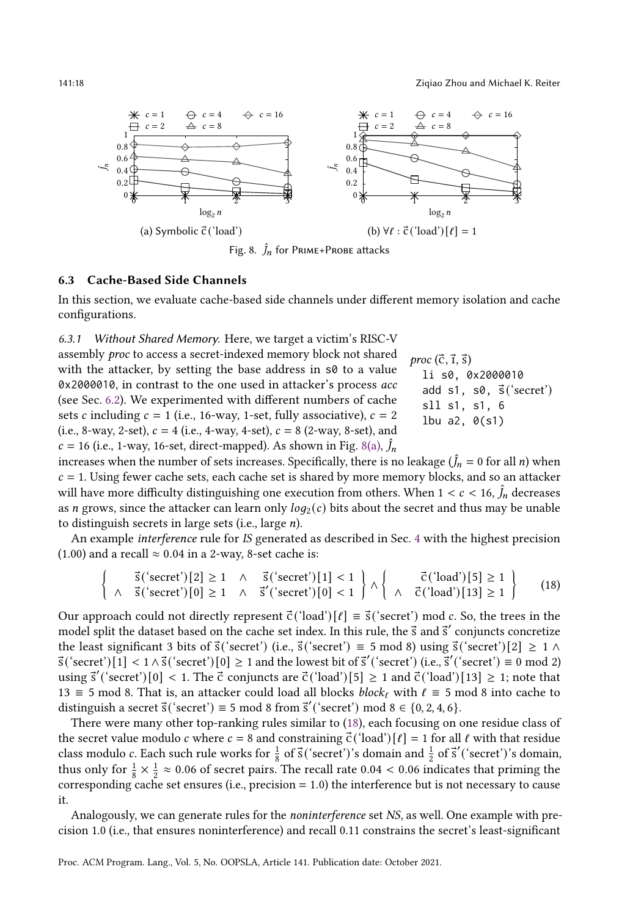141:18 Ziqiao Zhou and Michael K. Reiter

<span id="page-17-1"></span>

#### <span id="page-17-0"></span>6.3 Cache-Based Side Channels

In this section, we evaluate cache-based side channels under different memory isolation and cache configurations.

<span id="page-17-3"></span>6.3.1 Without Shared Memory. Here, we target a victim's RISC-V

proc  $(\vec{c}, \vec{i}, \vec{s})$ li s0, 0x2000010 add  $s1$ ,  $s0$ ,  $\vec{s}$  ('secret') sll s1, s1, 6 lbu a2, 0(s1) assembly proc to access a secret-indexed memory block not shared with the attacker, by setting the base address in s0 to a value 0x2000010, in contrast to the one used in attacker's process acc (see Sec. [6.2\)](#page-15-1). We experimented with different numbers of cache sets c including  $c = 1$  (i.e., 16-way, 1-set, fully associative),  $c = 2$ (i.e., 8-way, 2-set),  $c = 4$  (i.e., 4-way, 4-set),  $c = 8$  (2-way, 8-set), and  $c = 16$  (i.e., 1-way, 16-set, direct-mapped). As shown in Fig. [8\(a\),](#page-17-1)  $\hat{J}_n$ 

increases when the number of sets increases. Specifically, there is no leakage  $(\hat{J}_n = 0 \text{ for all } n)$  when  $c = 1$ . Using fewer cache sets, each cache set is shared by more memory blocks, and so an attacker will have more difficulty distinguishing one execution from others. When  $1 < c < 16$ ,  $\hat{J}_n$  decreases as *n* grows, since the attacker can learn only  $log_2(c)$  bits about the secret and thus may be unable to distinguish secrets in large sets (i.e., large  $n$ ).

An example interference rule for IS generated as described in Sec. [4](#page-7-0) with the highest precision (1.00) and a recall  $\approx$  0.04 in a 2-way, 8-set cache is:

<span id="page-17-2"></span>
$$
\left\{\begin{array}{ccc} \vec{s}(\text{'secret'})[2] \ge 1 & \wedge & \vec{s}(\text{'secret'})[1] < 1 \\ \wedge & \vec{s}(\text{'secret'})[0] \ge 1 & \wedge & \vec{s}'(\text{'secret'})[0] < 1 \end{array}\right\} \wedge \left\{\begin{array}{ccc} \vec{c}(\text{'load'})[5] \ge 1 \\ \wedge & \vec{c}(\text{'load'})[13] \ge 1 \end{array}\right\} \tag{18}
$$

Our approach could not directly represent  $\vec{c}$  ('load')  $[\ell] \equiv \vec{s}$  ('secret') mod c. So, the trees in the model split the dataset based on the cache set index. In this rule, the  $\vec{s}$  and  $\vec{s}'$  conjuncts concretize the least significant 3 bits of  $\vec{s}$ ('secret') (i.e.,  $\vec{s}$ ('secret')  $\equiv 5 \mod 8$ ) using  $\vec{s}$ ('secret')  $[2] \geq 1 \land$  $\vec{s}$  ('secret') [1] <  $1 \wedge \vec{s}$  ('secret') [0]  $\geq 1$  and the lowest bit of  $\vec{s}'$  ('secret') (i.e.,  $\vec{s}'$  ('secret')  $\equiv 0 \mod 2$ ) using  $\vec{s}'$  ('secret') [0] < 1. The  $\vec{c}$  conjuncts are  $\vec{c}$  ('load') [5]  $\geq 1$  and  $\vec{c}$  ('load') [13]  $\geq 1$ ; note that 13 ≡ 5 mod 8. That is, an attacker could load all blocks *block<sub>ℓ</sub>* with  $\ell$  ≡ 5 mod 8 into cache to distinguish a secret  $\vec{s}$  ('secret')  $\equiv$  5 mod 8 from  $\vec{s}'$  ('secret') mod 8  $\in$  {0, 2, 4, 6}.

There were many other top-ranking rules similar to [\(18\)](#page-17-2), each focusing on one residue class of the secret value modulo *c* where  $c = 8$  and constraining  $\vec{c}$  ('load')  $[\ell] = 1$  for all  $\ell$  with that residue class modulo c. Each such rule works for  $\frac{1}{8}$  of  $\vec{s}$  ('secret')'s domain and  $\frac{1}{2}$  of  $\vec{s}'$  ('secret')'s domain, thus only for  $\frac{1}{8} \times \frac{1}{2} \approx 0.06$  of secret pairs. The recall rate 0.04 < 0.06 indicates that priming the corresponding cache set ensures (i.e.,  $precision = 1.0$ ) the interference but is not necessary to cause it.

Analogously, we can generate rules for the noninterference set NS, as well. One example with precision 1.0 (i.e., that ensures noninterference) and recall 0.11 constrains the secret's least-significant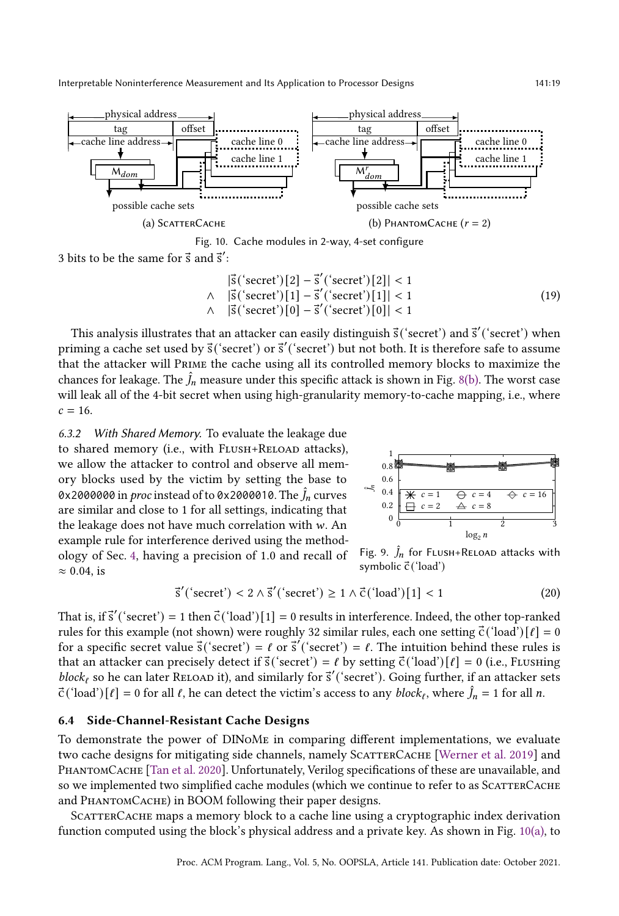<span id="page-18-0"></span>

Fig. 10. Cache modules in 2-way, 4-set configure

3 bits to be the same for  $\vec{s}$  and  $\vec{s}'$ :

$$
|\vec{s}('secret')[2] - \vec{s}'('secret')[2]| < 1
$$
  
\n
$$
\land |\vec{s}('secret')[1] - \vec{s}'('secret')[1]| < 1
$$
  
\n
$$
\land |\vec{s}('secret')[0] - \vec{s}'('secret')[0]| < 1
$$
\n(19)

This analysis illustrates that an attacker can easily distinguish  $\vec{s}$  ('secret') and  $\vec{s}'$  ('secret') when priming a cache set used by  $\vec{s}$  ('secret') or  $\vec{s}'$  ('secret') but not both. It is therefore safe to assume that the attacker will Prime the cache using all its controlled memory blocks to maximize the chances for leakage. The  $\hat{J}_n$  measure under this specific attack is shown in Fig. [8\(b\).](#page-17-1) The worst case will leak all of the 4-bit secret when using high-granularity memory-to-cache mapping, i.e., where  $c = 16.$ 

6.3.2 With Shared Memory. To evaluate the leakage due to shared memory (i.e., with FLUSH+RELOAD attacks), we allow the attacker to control and observe all memory blocks used by the victim by setting the base to 0x2000000 in *proc* instead of to 0x2000010. The  $\hat{J}_n$  curves are similar and close to 1 for all settings, indicating that the leakage does not have much correlation with  $w$ . An example rule for interference derived using the methodology of Sec. [4,](#page-7-0) having a precision of 1.0 and recall of  $\approx 0.04$ , is



<span id="page-18-1"></span>Fig. 9.  $\hat{J}_n$  for FLUSH+RELOAD attacks with symbolic  $\vec{c}$  ('load')

$$
\vec{s}'\left(\text{'secret'}\right) < 2 \land \vec{s}'\left(\text{'secret'}\right) \ge 1 \land \vec{c}\left(\text{'load'}\right)[1] < 1\tag{20}
$$

That is, if  $\vec{s}'$  ('secret') = 1 then  $\vec{c}$  ('load') [1] = 0 results in interference. Indeed, the other top-ranked rules for this example (not shown) were roughly 32 similar rules, each one setting  $\vec{c}$  ('load')  $\lceil \ell \rceil = 0$ for a specific secret value  $\vec{s}$  ('secret') =  $\ell$  or  $\vec{s}'$  ('secret') =  $\ell$ . The intuition behind these rules is that an attacker can precisely detect if  $\vec{s}$  ('secret') =  $\ell$  by setting  $\vec{c}$  ('load')  $\ell$ ] = 0 (i.e., Flushing  $block_\ell$  so he can later RELOAD it), and similarly for  $\vec{s}'$  ('secret'). Going further, if an attacker sets  $\vec{c}$  ('load')  $[\ell] = 0$  for all  $\ell$ , he can detect the victim's access to any  $block_{\ell}$ , where  $\hat{J}_n = 1$  for all  $n$ .

#### 6.4 Side-Channel-Resistant Cache Designs

To demonstrate the power of DINoMe in comparing different implementations, we evaluate two cache designs for mitigating side channels, namely SCATTERCACHE [\[Werner et al.](#page-28-3) [2019\]](#page-28-3) and PHANTOMCACHE [\[Tan et al.](#page-28-1) [2020\]](#page-28-1). Unfortunately, Verilog specifications of these are unavailable, and so we implemented two simplified cache modules (which we continue to refer to as SCATTERCACHE and PHANTOMCACHE) in BOOM following their paper designs.

SCATTERCACHE maps a memory block to a cache line using a cryptographic index derivation function computed using the block's physical address and a private key. As shown in Fig. [10\(a\),](#page-18-0) to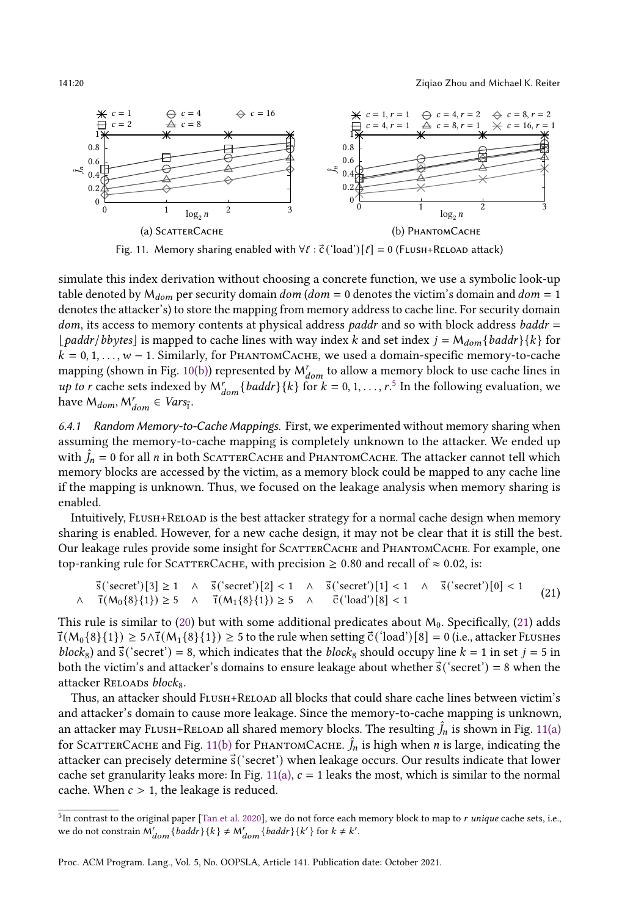<span id="page-19-2"></span>

Fig. 11. Memory sharing enabled with  $\forall \ell : \vec{c}$  ('load')  $[\ell] = 0$  (FLUSH+RELOAD attack)

simulate this index derivation without choosing a concrete function, we use a symbolic look-up table denoted by  $M_{dom}$  per security domain  $dom (dom = 0$  denotes the victim's domain and  $dom = 1$ denotes the attacker's) to store the mapping from memory address to cache line. For security domain  $dom$ , its access to memory contents at physical address paddr and so with block address baddr = [*paddr*/bbytes] is mapped to cache lines with way index k and set index  $j = M_{dom} \{baddr\}$ {k} for  $k = 0, 1, \ldots, w - 1$ . Similarly, for PHANTOMCACHE, we used a domain-specific memory-to-cache mapping (shown in Fig. [10\(b\)\)](#page-18-0) represented by  $M_{dom}^r$  to allow a memory block to use cache lines in *up to r* cache sets indexed by  $M_{dom}^r\{baddr\}\{k\}$  for  $k = 0, 1, ..., r$ .<sup>[5](#page-19-0)</sup> In the following evaluation, we have  $M_{dom}, M_{dom}^r \in Vars_{\overline{i}}$ .

6.4.1 Random Memory-to-Cache Mappings. First, we experimented without memory sharing when assuming the memory-to-cache mapping is completely unknown to the attacker. We ended up with  $\hat{J}_n = 0$  for all *n* in both SCATTERCACHE and PHANTOMCACHE. The attacker cannot tell which memory blocks are accessed by the victim, as a memory block could be mapped to any cache line if the mapping is unknown. Thus, we focused on the leakage analysis when memory sharing is enabled.

Intuitively, Flush+Reload is the best attacker strategy for a normal cache design when memory sharing is enabled. However, for a new cache design, it may not be clear that it is still the best. Our leakage rules provide some insight for SCATTERCACHE and PHANTOMCACHE. For example, one top-ranking rule for SCATTERCACHE, with precision  $\geq 0.80$  and recall of  $\approx 0.02$ , is:

<span id="page-19-1"></span>
$$
\vec{s}('secret')[3] \ge 1 \quad \land \quad \vec{s}('secret')[2] < 1 \quad \land \quad \vec{s}('secret')[1] < 1 \quad \land \quad \vec{s}('secret')[0] < 1 \quad \land \quad \vec{t}(M_0\{8\}\{1\}) \ge 5 \quad \land \quad \vec{t}(M_1\{8\}\{1\}) \ge 5 \quad \land \quad \vec{c}'(load')[8] < 1 \tag{21}
$$

This rule is similar to  $(20)$  but with some additional predicates about  $M_0$ . Specifically,  $(21)$  adds  $\overline{T}(M_0{\{8\}}{1}) \ge 5 \wedge \overline{T}(M_1{\{8\}}{1}) \ge 5$  to the rule when setting  $\overline{C}$  ('load') [8] = 0 (i.e., attacker Flushes block<sub>8</sub>) and  $\vec{s}$  ('secret') = 8, which indicates that the block<sub>8</sub> should occupy line  $k = 1$  in set  $j = 5$  in both the victim's and attacker's domains to ensure leakage about whether  $\vec{s}$  ('secret') = 8 when the attacker RELOADS block<sub>8</sub>.

Thus, an attacker should Flush+Reload all blocks that could share cache lines between victim's and attacker's domain to cause more leakage. Since the memory-to-cache mapping is unknown, an attacker may FLUSH+RELOAD all shared memory blocks. The resulting  $\hat{J}_n$  is shown in Fig. [11\(a\)](#page-19-2) for SCATTERCACHE and Fig. [11\(b\)](#page-19-2) for PHANTOMCACHE.  $\hat{J}_n$  is high when  $n$  is large, indicating the attacker can precisely determine  $\vec{s}$  ('secret') when leakage occurs. Our results indicate that lower cache set granularity leaks more: In Fig. [11\(a\),](#page-19-2)  $c = 1$  leaks the most, which is similar to the normal cache. When  $c > 1$ , the leakage is reduced.

<span id="page-19-0"></span> $^5$ In contrast to the original paper [\[Tan et al.](#page-28-1) [2020\]](#page-28-1), we do not force each memory block to map to  $r$  unique cache sets, i.e., we do not constrain  $M_{dom}^r \{baddr\} \{k\} \neq M_{dom}^r \{baddr\} \{k'\}$  for  $k \neq k'$ .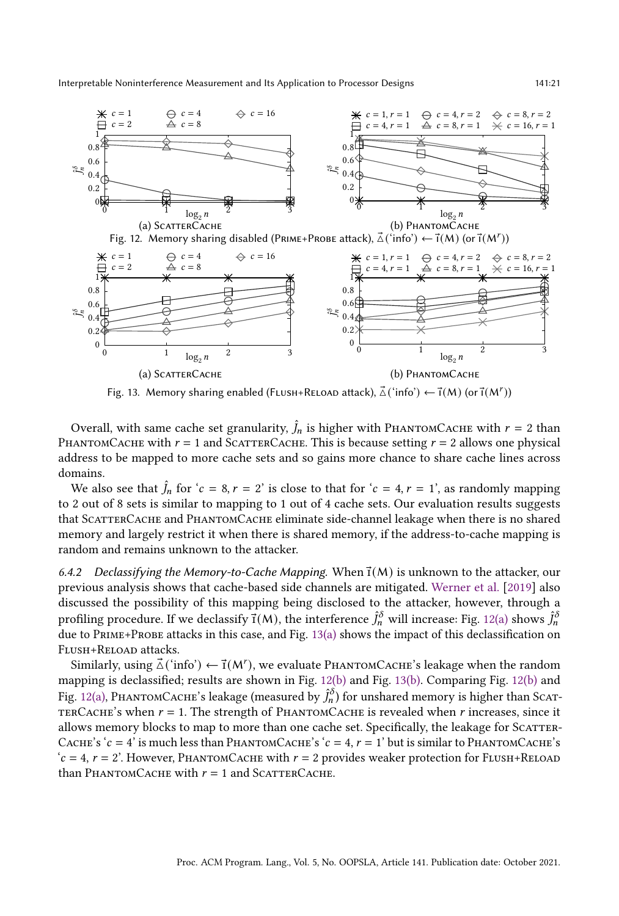<span id="page-20-1"></span><span id="page-20-0"></span>

Fig. 13. Memory sharing enabled (FLUSH+RELOAD attack),  $\vec{\Delta}("info") \leftarrow \vec{\mathsf{I}}(M)$  (or  $\vec{\mathsf{I}}(M^r)$ )

Overall, with same cache set granularity,  $\hat{J}_n$  is higher with PHANTOMCACHE with  $r = 2$  than PHANTOMCACHE with  $r = 1$  and SCATTERCACHE. This is because setting  $r = 2$  allows one physical address to be mapped to more cache sets and so gains more chance to share cache lines across domains.

We also see that  $\hat{J}_n$  for ' $c = 8$ ,  $r = 2$ ' is close to that for ' $c = 4$ ,  $r = 1$ ', as randomly mapping to 2 out of 8 sets is similar to mapping to 1 out of 4 cache sets. Our evaluation results suggests that ScatterCache and PhantomCache eliminate side-channel leakage when there is no shared memory and largely restrict it when there is shared memory, if the address-to-cache mapping is random and remains unknown to the attacker.

6.4.2 Declassifying the Memory-to-Cache Mapping. When  $\vec{\tau}(M)$  is unknown to the attacker, our previous analysis shows that cache-based side channels are mitigated. [Werner et al.](#page-28-3) [\[2019\]](#page-28-3) also discussed the possibility of this mapping being disclosed to the attacker, however, through a profiling procedure. If we declassify  $\vec{1}$ (M), the interference  $\hat{J}^{\delta}_n$  will increase: Fig. [12\(a\)](#page-20-0) shows  $\hat{J}^{\delta}_n$ due to Prime+Probe attacks in this case, and Fig. [13\(a\)](#page-20-1) shows the impact of this declassification on Flush+Reload attacks.

Similarly, using  $\vec{\triangle}$  ('info')  $\leftarrow$   $\vec{\tau}$ (M'), we evaluate PHANTOMCACHE's leakage when the random mapping is declassified; results are shown in Fig. [12\(b\)](#page-20-0) and Fig. [13\(b\).](#page-20-1) Comparing Fig. [12\(b\)](#page-20-0) and Fig. [12\(a\),](#page-20-0) РнамтомСасне's leakage (measured by  $\hat{J}_n^\delta$ ) for unshared memory is higher than Scaт-TERCACHE's when  $r = 1$ . The strength of PHANTOMCACHE is revealed when r increases, since it allows memory blocks to map to more than one cache set. Specifically, the leakage for SCATTER-CACHE's ' $c = 4$ ' is much less than PHANTOMCACHE's ' $c = 4$ ,  $r = 1$ ' but is similar to PHANTOMCACHE's  $c = 4$ ,  $r = 2$ . However, PHANTOMCACHE with  $r = 2$  provides weaker protection for FLUSH+RELOAD than PHANTOMCACHE with  $r = 1$  and SCATTERCACHE.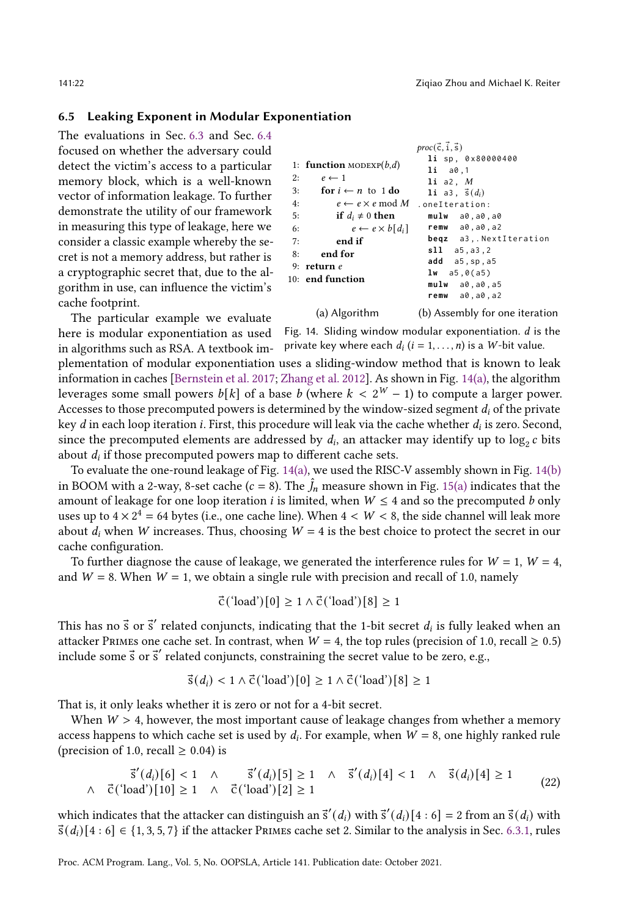#### <span id="page-21-1"></span>6.5 Leaking Exponent in Modular Exponentiation

The evaluations in Sec. [6.3](#page-17-0) and Sec. [6.4](#page-18-0) focused on whether the adversary could detect the victim's access to a particular memory block, which is a well-known vector of information leakage. To further demonstrate the utility of our framework in measuring this type of leakage, here we consider a classic example whereby the secret is not a memory address, but rather is a cryptographic secret that, due to the algorithm in use, can influence the victim's cache footprint.

<span id="page-21-0"></span>

|    |                                  | $proc(\vec{c}, \vec{i}, \vec{s})$                |
|----|----------------------------------|--------------------------------------------------|
|    | 1: function MODEXP $(b,d)$       | li sp. 0x80000400<br>$1i$ $a0,1$                 |
| 2: | $e \leftarrow 1$                 | 1i a2, M                                         |
| 3: | for $i \leftarrow n$ to 1 do     | 1i a3, $\vec{s}(d_i)$                            |
| 4: | $e \leftarrow e \times e \mod M$ | .oneIteration:                                   |
| 5: | if $d_i \neq 0$ then             | mulw a0,a0,a0                                    |
| 6: | $e \leftarrow e \times b[d_i]$   | $remw = a0, a0, a2$                              |
| 7: | end if                           | begz a3, NextIteration                           |
| 8: | end for                          | s11 a5, a3, 2                                    |
|    | 9: return $e$                    | $add$ $a5$ , sp, $a5$                            |
|    | 10: end function                 | <b>lw</b> $a5,0(a5)$                             |
|    |                                  | $mu1w$ $a0$ , $a0$ , $a5$<br>$remw = a0, a0, a2$ |
|    | (a) Algorithm                    | (b) Assembly for one iteratior                   |

(b) Assembly for one iteration

The particular example we evaluate here is modular exponentiation as used in algorithms such as RSA. A textbook im-

Fig. 14. Sliding window modular exponentiation.  $d$  is the private key where each  $d_i$  ( $i = 1, ..., n$ ) is a W-bit value.

plementation of modular exponentiation uses a sliding-window method that is known to leak information in caches [\[Bernstein et al.](#page-26-11) [2017;](#page-26-11) [Zhang et al.](#page-29-6) [2012\]](#page-29-6). As shown in Fig. [14\(a\),](#page-21-0) the algorithm leverages some small powers  $b[k]$  of a base b (where  $k < 2^W - 1$ ) to compute a larger power. Accesses to those precomputed powers is determined by the window-sized segment  $d_i$  of the private key  $d$  in each loop iteration  $i.$  First, this procedure will leak via the cache whether  $d_i$  is zero. Second, since the precomputed elements are addressed by  $d_i$ , an attacker may identify up to  $\log_2 c$  bits about  $d_i$  if those precomputed powers map to different cache sets.

To evaluate the one-round leakage of Fig. [14\(a\),](#page-21-0) we used the RISC-V assembly shown in Fig. [14\(b\)](#page-21-0) in BOOM with a 2-way, 8-set cache ( $c = 8$ ). The  $\hat{J}_n$  measure shown in Fig. [15\(a\)](#page-22-1) indicates that the amount of leakage for one loop iteration *i* is limited, when  $W \leq 4$  and so the precomputed b only uses up to  $4 \times 2^4 = 64$  bytes (i.e., one cache line). When  $4 \lt W \lt 8$ , the side channel will leak more about  $d_i$  when W increases. Thus, choosing  $W = 4$  is the best choice to protect the secret in our cache configuration.

To further diagnose the cause of leakage, we generated the interference rules for  $W = 1$ ,  $W = 4$ , and  $W = 8$ . When  $W = 1$ , we obtain a single rule with precision and recall of 1.0, namely

$$
\vec{c} \left( \text{'}load \right)[0] \ge 1 \land \vec{c} \left( \text{'}load \right)[8] \ge 1
$$

This has no  $\vec{s}$  or  $\vec{s}'$  related conjuncts, indicating that the 1-bit secret  $d_i$  is fully leaked when an attacker PRIMES one cache set. In contrast, when  $W = 4$ , the top rules (precision of 1.0, recall  $\geq 0.5$ ) include some  $\vec{s}$  or  $\vec{s}'$  related conjuncts, constraining the secret value to be zero, e.g.,

$$
\vec{s}(d_i) < 1 \land \vec{c} \text{ ('load') } [0] \geq 1 \land \vec{c} \text{ ('load') } [8] \geq 1
$$

That is, it only leaks whether it is zero or not for a 4-bit secret.

When  $W > 4$ , however, the most important cause of leakage changes from whether a memory access happens to which cache set is used by  $d_i$ . For example, when  $W = 8$ , one highly ranked rule (precision of 1.0, recall  $\geq$  0.04) is

$$
\vec{s}'(d_i)[6] < 1 \land \vec{s}'(d_i)[5] \ge 1 \land \vec{s}'(d_i)[4] < 1 \land \vec{s}(d_i)[4] \ge 1
$$
\n
$$
\vec{c}(\text{load}')[10] \ge 1 \land \vec{c}(\text{load}')[2] \ge 1 \tag{22}
$$

which indicates that the attacker can distinguish an  $\vec{s}'(d_i)$  with  $\vec{s}'(d_i)[4:6] = 2$  from an  $\vec{s}(d_i)$  with  $\vec{s}(d_i)[4:6] \in \{1,3,5,7\}$  if the attacker Primes cache set 2. Similar to the analysis in Sec. [6.3.1,](#page-17-3) rules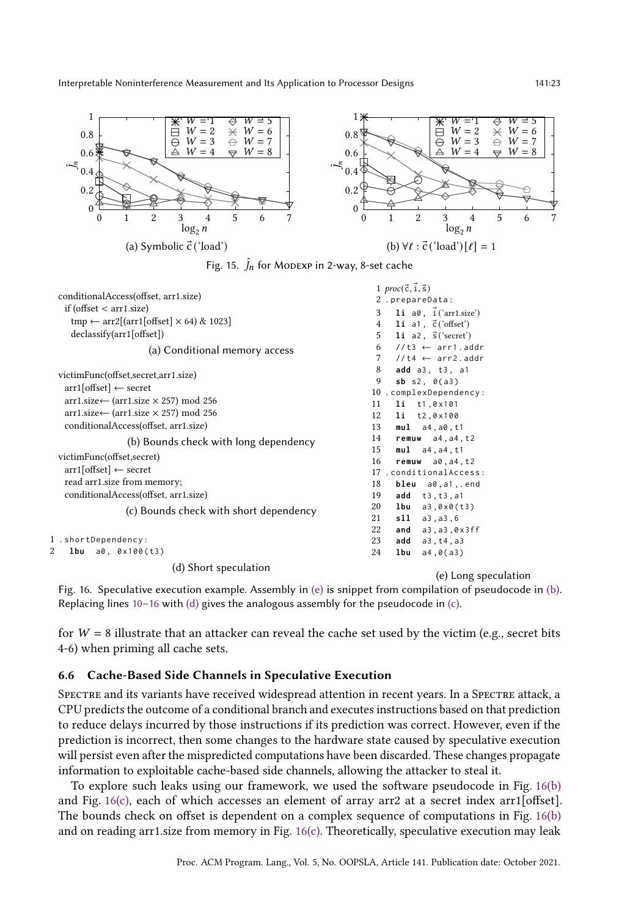<span id="page-22-1"></span>

Fig. 16. Speculative execution example. Assembly in [\(e\)](#page-22-2) is snippet from compilation of pseudocode in [\(b\).](#page-22-2) Replacing lines  $10-16$  $10-16$  with [\(d\)](#page-22-2) gives the analogous assembly for the pseudocode in [\(c\).](#page-22-2)

for  $W = 8$  illustrate that an attacker can reveal the cache set used by the victim (e.g., secret bits 4-6) when priming all cache sets.

#### <span id="page-22-0"></span>6.6 Cache-Based Side Channels in Speculative Execution

(c) Bounds check with short dependency

(d) Short speculation

<span id="page-22-2"></span>victimFunc(offset,secret) arr1[offset] ← secret read arr1.size from memory; conditionalAccess(offset, arr1.size)

1 . shortDependency : 2 **lbu** a0, 0x100(t3)

SPECTRE and its variants have received widespread attention in recent years. In a SPECTRE attack, a CPU predicts the outcome of a conditional branch and executes instructions based on that prediction to reduce delays incurred by those instructions if its prediction was correct. However, even if the prediction is incorrect, then some changes to the hardware state caused by speculative execution will persist even after the mispredicted computations have been discarded. These changes propagate information to exploitable cache-based side channels, allowing the attacker to steal it.

To explore such leaks using our framework, we used the software pseudocode in Fig. [16\(b\)](#page-22-2) and Fig. [16\(c\),](#page-22-2) each of which accesses an element of array arr2 at a secret index arr1[offset]. The bounds check on offset is dependent on a complex sequence of computations in Fig. [16\(b\)](#page-22-2) and on reading arr1.size from memory in Fig. [16\(c\).](#page-22-2) Theoretically, speculative execution may leak

<span id="page-22-6"></span><span id="page-22-5"></span><span id="page-22-4"></span><span id="page-22-3"></span> **remuw** a0 , a4 , t2 . conditionalAccess : **bleu** a0 , a1 ,. end **add** t3 , t3 , a1 **lbu** a3 ,0 x0 ( t3 ) **sll** a3, a3, 6<br>22 **and** a3. a3. 0 **and** a3 , a3 ,0 x3ff **add** a3 , t4 , a3 **lbu** a4 ,0( a3 )

<span id="page-22-7"></span>(e) Long speculation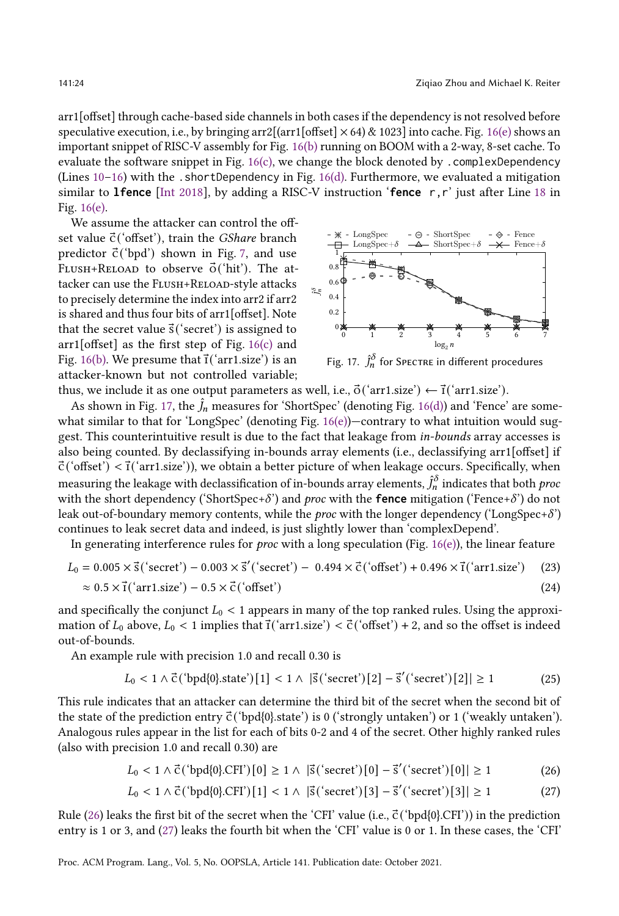arr1[offset] through cache-based side channels in both cases if the dependency is not resolved before speculative execution, i.e., by bringing arr2[(arr1[offset]  $\times$  64) & 1023] into cache. Fig. [16\(e\)](#page-22-2) shows an important snippet of RISC-V assembly for Fig. [16\(b\)](#page-22-2) running on BOOM with a 2-way, 8-set cache. To evaluate the software snippet in Fig. [16\(c\),](#page-22-2) we change the block denoted by .complexDependency (Lines  $10-16$  $10-16$ ) with the .shortDependency in Fig. [16\(d\).](#page-22-2) Furthermore, we evaluated a mitigation similar to **lfence** [\[Int 2018\]](#page-26-12), by adding a RISC-V instruction '**fence** r,r' just after Line [18](#page-22-5) in Fig. [16\(e\).](#page-22-2)

We assume the attacker can control the offset value  $\vec{c}$  ('offset'), train the *GShare* branch predictor  $\vec{c}$  ('bpd') shown in Fig. [7,](#page-15-0) and use FLUSH+RELOAD to observe  $\vec{o}$  ('hit'). The attacker can use the FLUSH+RELOAD-style attacks to precisely determine the index into arr2 if arr2 is shared and thus four bits of arr1[offset]. Note that the secret value  $\vec{s}$  ('secret') is assigned to  $arr1[offset]$  as the first step of Fig. [16\(c\)](#page-22-2) and Fig. [16\(b\).](#page-22-2) We presume that  $\vec{\tau}$  ('arr1.size') is an attacker-known but not controlled variable;

<span id="page-23-0"></span>

Fig. 17.  $\hat{J}^{\delta}_{n}$  for Spectre in different procedures

thus, we include it as one output parameters as well, i.e.,  $\vec{\sigma}$  ('arr1.size')  $\leftarrow$   $\vec{\tau}$  ('arr1.size').

As shown in Fig. [17,](#page-23-0) the  $j_n$  measures for 'ShortSpec' (denoting Fig. [16\(d\)\)](#page-22-2) and 'Fence' are some-what similar to that for 'LongSpec' (denoting Fig. [16\(e\)\)](#page-22-2)-contrary to what intuition would suggest. This counterintuitive result is due to the fact that leakage from in-bounds array accesses is also being counted. By declassifying in-bounds array elements (i.e., declassifying arr1[offset] if  $\vec{c}$  ('offset')  $\langle \vec{r} \rangle$  ('arr1.size')), we obtain a better picture of when leakage occurs. Specifically, when measuring the leakage with declassification of in-bounds array elements,  $\hat{J}_n^\delta$  indicates that both  $proc$ with the short dependency ('ShortSpec+ $\delta$ ') and proc with the **fence** mitigation ('Fence+ $\delta$ ') do not leak out-of-boundary memory contents, while the *proc* with the longer dependency ('LongSpec+ $\delta$ ') continues to leak secret data and indeed, is just slightly lower than 'complexDepend'.

In generating interference rules for *proc* with a long speculation (Fig. [16\(e\)\)](#page-22-2), the linear feature

$$
L_0 = 0.005 \times \vec{s} \text{ ('secret')} - 0.003 \times \vec{s} \text{ ('secret')} - 0.494 \times \vec{c} \text{ ('offset')} + 0.496 \times \vec{t} \text{ ('arr1.size')} \tag{23}
$$
  

$$
\approx 0.5 \times \vec{t} \text{ ('arr1.size')} - 0.5 \times \vec{c} \text{ ('offset')} \tag{24}
$$

and specifically the conjunct  $L_0 < 1$  appears in many of the top ranked rules. Using the approximation of  $L_0$  above,  $L_0 < 1$  implies that  $\vec{\tau}$ ('arr1.size')  $< \vec{\tau}$ ('offset') + 2, and so the offset is indeed out-of-bounds.

An example rule with precision 1.0 and recall 0.30 is

$$
L_0 < 1 \land \vec{C} \left( \text{`bpd[0].state'} \right) [1] < 1 \land |\vec{s} \left( \text{`secret'} \right) [2] - \vec{s}' \left( \text{`secret'} \right) [2]| \ge 1 \tag{25}
$$

This rule indicates that an attacker can determine the third bit of the secret when the second bit of the state of the prediction entry  $\vec{c}$  ('bpd{0}.state') is 0 ('strongly untaken') or 1 ('weakly untaken'). Analogous rules appear in the list for each of bits 0-2 and 4 of the secret. Other highly ranked rules (also with precision 1.0 and recall 0.30) are

$$
L_0 < 1 \land \vec{c} \text{ ('bpd{0}.CFT)}[0] \ge 1 \land |\vec{s} \text{ ('secret')}[0] - \vec{s} \text{ ('secret')}[0]| \ge 1 \tag{26}
$$

<span id="page-23-2"></span><span id="page-23-1"></span>
$$
L_0 < 1 \land \vec{C} \left( \text{`bpd{0}.CFI'} \right)[1] < 1 \land |\vec{s} \left( \text{`secret'} \right)[3] - \vec{s}' \left( \text{`secret'} \right)[3]| \ge 1 \tag{27}
$$

Rule [\(26\)](#page-23-1) leaks the first bit of the secret when the 'CFI' value (i.e.,  $\vec{c}$  ('bpd{0}.CFI')) in the prediction entry is 1 or 3, and [\(27\)](#page-23-2) leaks the fourth bit when the 'CFI' value is 0 or 1. In these cases, the 'CFI'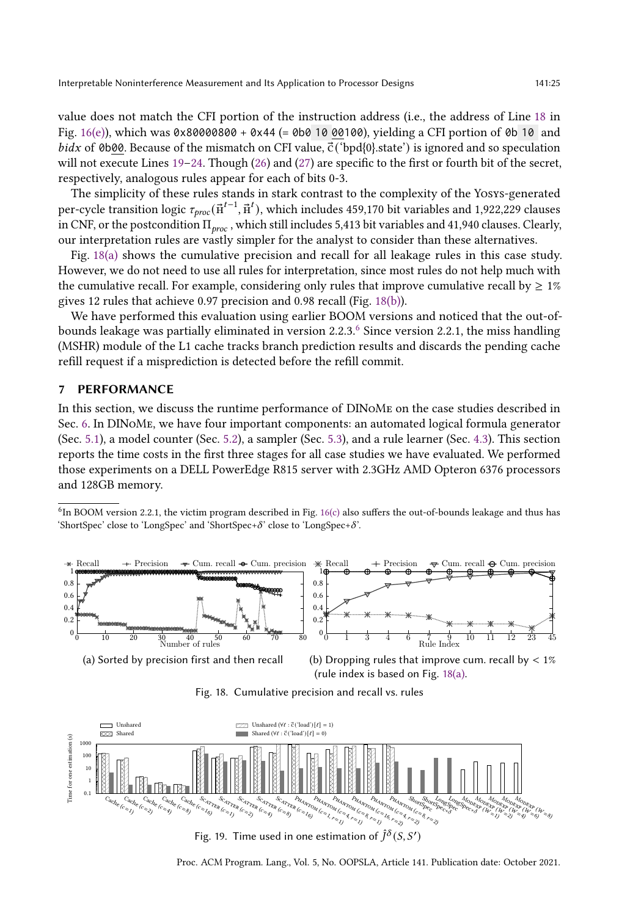value does not match the CFI portion of the instruction address (i.e., the address of Line [18](#page-22-5) in Fig.  $16(e)$ ), which was 0x80000800 + 0x44 (= 0b0 10 00100), yielding a CFI portion of 0b 10 and *bidx* of 0b00. Because of the mismatch on CFI value,  $\vec{c}$  ('bpd{0}.state') is ignored and so speculation will not execute Lines  $19-24$  $19-24$ . Though [\(26\)](#page-23-1) and [\(27\)](#page-23-2) are specific to the first or fourth bit of the secret, respectively, analogous rules appear for each of bits 0-3.

The simplicity of these rules stands in stark contrast to the complexity of the Yosys-generated per-cycle transition logic  $\tau_{proc}(\vec{p}^{t-1}, \vec{p}^t)$ , which includes 459,170 bit variables and 1,922,229 clauses in CNF, or the postcondition  $\Pi_{proc}$ , which still includes 5,413 bit variables and 41,940 clauses. Clearly, our interpretation rules are vastly simpler for the analyst to consider than these alternatives.

Fig. [18\(a\)](#page-24-1) shows the cumulative precision and recall for all leakage rules in this case study. However, we do not need to use all rules for interpretation, since most rules do not help much with the cumulative recall. For example, considering only rules that improve cumulative recall by  $\geq 1\%$ gives 12 rules that achieve 0.97 precision and 0.98 recall (Fig. [18\(b\)\)](#page-24-1).

We have performed this evaluation using earlier BOOM versions and noticed that the out-ofbounds leakage was partially eliminated in version  $2.2.3<sup>6</sup>$  $2.2.3<sup>6</sup>$  $2.2.3<sup>6</sup>$  Since version 2.2.1, the miss handling (MSHR) module of the L1 cache tracks branch prediction results and discards the pending cache refill request if a misprediction is detected before the refill commit.

#### <span id="page-24-0"></span>7 PERFORMANCE

In this section, we discuss the runtime performance of DINoMe on the case studies described in Sec. [6.](#page-14-0) In DINoMe, we have four important components: an automated logical formula generator (Sec. [5.1\)](#page-11-0), a model counter (Sec. [5.2\)](#page-12-0), a sampler (Sec. [5.3\)](#page-13-0), and a rule learner (Sec. [4.3\)](#page-8-0). This section reports the time costs in the first three stages for all case studies we have evaluated. We performed those experiments on a DELL PowerEdge R815 server with 2.3GHz AMD Opteron 6376 processors and 128GB memory.

<span id="page-24-2"></span><sup>&</sup>lt;sup>6</sup>In BOOM version 2.2.1, the victim program described in Fig. [16\(c\)](#page-22-2) also suffers the out-of-bounds leakage and thus has 'ShortSpec' close to 'LongSpec' and 'ShortSpec+ $\delta$ ' close to 'LongSpec+ $\delta$ '.

<span id="page-24-1"></span>

(a) Sorted by precision first and then recall

(b) Dropping rules that improve cum. recall by  $< 1\%$ (rule index is based on Fig. [18\(a\).](#page-24-1)



<span id="page-24-3"></span>

Fig. 19. Time used in one estimation of  $\hat{J}^\delta(S,S')$ 

Proc. ACM Program. Lang., Vol. 5, No. OOPSLA, Article 141. Publication date: October 2021.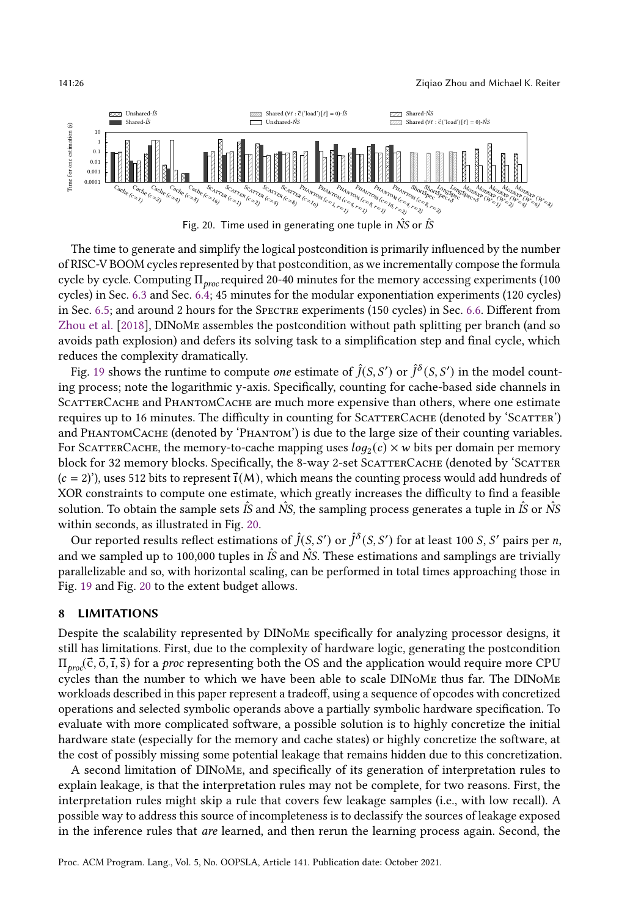<span id="page-25-1"></span>

Fig. 20. Time used in generating one tuple in  $\hat{NS}$  or  $\hat{IS}$ 

The time to generate and simplify the logical postcondition is primarily influenced by the number of RISC-V BOOM cycles represented by that postcondition, as we incrementally compose the formula cycle by cycle. Computing  $\Pi_{proc}$  required 20-40 minutes for the memory accessing experiments (100 cycles) in Sec. [6.3](#page-17-0) and Sec. [6.4;](#page-18-0) 45 minutes for the modular exponentiation experiments (120 cycles) in Sec. [6.5;](#page-21-1) and around 2 hours for the Spectre experiments (150 cycles) in Sec. [6.6.](#page-22-0) Different from [Zhou et al.](#page-29-2) [\[2018\]](#page-29-2), DINoMe assembles the postcondition without path splitting per branch (and so avoids path explosion) and defers its solving task to a simplification step and final cycle, which reduces the complexity dramatically.

Fig. [19](#page-24-3) shows the runtime to compute *one* estimate of  $\hat{J}(S, S')$  or  $\hat{J}^{\delta}(S, S')$  in the model counting process; note the logarithmic y-axis. Specifically, counting for cache-based side channels in SCATTERCACHE and PHANTOMCACHE are much more expensive than others, where one estimate requires up to 16 minutes. The difficulty in counting for SCATTERCACHE (denoted by 'SCATTER') and PHANTOMCACHE (denoted by 'PHANTOM') is due to the large size of their counting variables. For SCATTERCACHE, the memory-to-cache mapping uses  $log_2(c) \times w$  bits per domain per memory block for 32 memory blocks. Specifically, the 8-way 2-set SCATTERCACHE (denoted by 'SCATTER  $(c = 2)$ , uses 512 bits to represent  $\vec{\tau}(M)$ , which means the counting process would add hundreds of XOR constraints to compute one estimate, which greatly increases the difficulty to find a feasible solution. To obtain the sample sets  $\hat{IS}$  and  $\hat{NS}$ , the sampling process generates a tuple in  $\hat{IS}$  or  $\hat{NS}$ within seconds, as illustrated in Fig. [20.](#page-25-1)

Our reported results reflect estimations of  $\hat{J}(S, S')$  or  $\hat{J}^{\delta}(S, S')$  for at least 100 S, S' pairs per n, and we sampled up to 100,000 tuples in  $\hat{I}S$  and  $\hat{N}S$ . These estimations and samplings are trivially parallelizable and so, with horizontal scaling, can be performed in total times approaching those in Fig. [19](#page-24-3) and Fig. [20](#page-25-1) to the extent budget allows.

#### <span id="page-25-0"></span>8 LIMITATIONS

Despite the scalability represented by DINoMe specifically for analyzing processor designs, it still has limitations. First, due to the complexity of hardware logic, generating the postcondition  $\Pi_{pro}(\vec{c}, \vec{0}, \vec{1}, \vec{s})$  for a *proc* representing both the OS and the application would require more CPU cycles than the number to which we have been able to scale DINoMe thus far. The DINoMe workloads described in this paper represent a tradeoff, using a sequence of opcodes with concretized operations and selected symbolic operands above a partially symbolic hardware specification. To evaluate with more complicated software, a possible solution is to highly concretize the initial hardware state (especially for the memory and cache states) or highly concretize the software, at the cost of possibly missing some potential leakage that remains hidden due to this concretization.

A second limitation of DINoMe, and specifically of its generation of interpretation rules to explain leakage, is that the interpretation rules may not be complete, for two reasons. First, the interpretation rules might skip a rule that covers few leakage samples (i.e., with low recall). A possible way to address this source of incompleteness is to declassify the sources of leakage exposed in the inference rules that *are* learned, and then rerun the learning process again. Second, the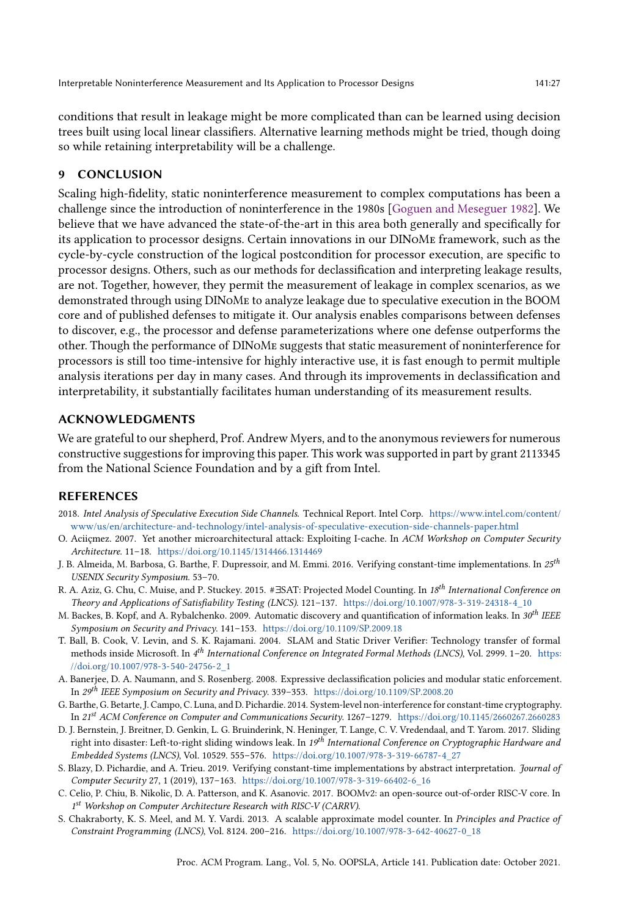conditions that result in leakage might be more complicated than can be learned using decision trees built using local linear classifiers. Alternative learning methods might be tried, though doing so while retaining interpretability will be a challenge.

# <span id="page-26-3"></span>9 CONCLUSION

Scaling high-fidelity, static noninterference measurement to complex computations has been a challenge since the introduction of noninterference in the 1980s [\[Goguen and Meseguer 1982\]](#page-27-0). We believe that we have advanced the state-of-the-art in this area both generally and specifically for its application to processor designs. Certain innovations in our DINoMe framework, such as the cycle-by-cycle construction of the logical postcondition for processor execution, are specific to processor designs. Others, such as our methods for declassification and interpreting leakage results, are not. Together, however, they permit the measurement of leakage in complex scenarios, as we demonstrated through using DINoMe to analyze leakage due to speculative execution in the BOOM core and of published defenses to mitigate it. Our analysis enables comparisons between defenses to discover, e.g., the processor and defense parameterizations where one defense outperforms the other. Though the performance of DINoMe suggests that static measurement of noninterference for processors is still too time-intensive for highly interactive use, it is fast enough to permit multiple analysis iterations per day in many cases. And through its improvements in declassification and interpretability, it substantially facilitates human understanding of its measurement results.

#### ACKNOWLEDGMENTS

We are grateful to our shepherd, Prof. Andrew Myers, and to the anonymous reviewers for numerous constructive suggestions for improving this paper. This work was supported in part by grant 2113345 from the National Science Foundation and by a gift from Intel.

#### REFERENCES

- <span id="page-26-12"></span>2018. Intel Analysis of Speculative Execution Side Channels. Technical Report. Intel Corp. [https://www.intel.com/content/](https://www.intel.com/content/www/us/en/architecture-and-technology/intel-analysis-of-speculative-execution-side-channels-paper.html) [www/us/en/architecture-and-technology/intel-analysis-of-speculative-execution-side-channels-paper.html](https://www.intel.com/content/www/us/en/architecture-and-technology/intel-analysis-of-speculative-execution-side-channels-paper.html)
- <span id="page-26-2"></span>O. Aciiçmez. 2007. Yet another microarchitectural attack: Exploiting I-cache. In ACM Workshop on Computer Security Architecture. 11-18. <https://doi.org/10.1145/1314466.1314469>
- <span id="page-26-4"></span>J. B. Almeida, M. Barbosa, G. Barthe, F. Dupressoir, and M. Emmi. 2016. Verifying constant-time implementations. In  $25^{th}$ USENIX Security Symposium. 53-70.
- <span id="page-26-8"></span>R. A. Aziz, G. Chu, C. Muise, and P. Stuckey. 2015. #∃SAT: Projected Model Counting. In 18<sup>th</sup> International Conference on Theory and Applications of Satisfiability Testing (LNCS). 121-137. [https://doi.org/10.1007/978-3-319-24318-4\\_10](https://doi.org/10.1007/978-3-319-24318-4_10)
- <span id="page-26-0"></span>M. Backes, B. Kopf, and A. Rybalchenko. 2009. Automatic discovery and quantification of information leaks. In  $30^{th}$  IEEE Symposium on Security and Privacy. 141-153. <https://doi.org/10.1109/SP.2009.18>
- <span id="page-26-10"></span>T. Ball, B. Cook, V. Levin, and S. K. Rajamani. 2004. SLAM and Static Driver Verifier: Technology transfer of formal methods inside Microsoft. In 4<sup>th</sup> International Conference on Integrated Formal Methods (LNCS), Vol. 2999. 1-20. [https:](https://doi.org/10.1007/978-3-540-24756-2_1) [//doi.org/10.1007/978-3-540-24756-2\\_1](https://doi.org/10.1007/978-3-540-24756-2_1)
- <span id="page-26-7"></span>A. Banerjee, D. A. Naumann, and S. Rosenberg. 2008. Expressive declassification policies and modular static enforcement. In  $29^{th}$  IEEE Symposium on Security and Privacy. 339–353. <https://doi.org/10.1109/SP.2008.20>
- <span id="page-26-5"></span>G. Barthe, G. Betarte, J. Campo, C. Luna, and D. Pichardie. 2014. System-level non-interference for constant-time cryptography. In 21<sup>st</sup> ACM Conference on Computer and Communications Security. 1267–1279. <https://doi.org/10.1145/2660267.2660283>
- <span id="page-26-11"></span>D. J. Bernstein, J. Breitner, D. Genkin, L. G. Bruinderink, N. Heninger, T. Lange, C. V. Vredendaal, and T. Yarom. 2017. Sliding right into disaster: Left-to-right sliding windows leak. In 19<sup>th</sup> International Conference on Cryptographic Hardware and Embedded Systems (LNCS), Vol. 10529. 555-576. [https://doi.org/10.1007/978-3-319-66787-4\\_27](https://doi.org/10.1007/978-3-319-66787-4_27)
- <span id="page-26-6"></span>S. Blazy, D. Pichardie, and A. Trieu. 2019. Verifying constant-time implementations by abstract interpretation. Journal of Computer Security 27, 1 (2019), 137-163. [https://doi.org/10.1007/978-3-319-66402-6\\_16](https://doi.org/10.1007/978-3-319-66402-6_16)
- <span id="page-26-1"></span>C. Celio, P. Chiu, B. Nikolic, D. A. Patterson, and K. Asanovic. 2017. BOOMv2: an open-source out-of-order RISC-V core. In 1st Workshop on Computer Architecture Research with RISC-V (CARRV).
- <span id="page-26-9"></span>S. Chakraborty, K. S. Meel, and M. Y. Vardi. 2013. A scalable approximate model counter. In Principles and Practice of Constraint Programming (LNCS), Vol. 8124. 200-216. [https://doi.org/10.1007/978-3-642-40627-0\\_18](https://doi.org/10.1007/978-3-642-40627-0_18)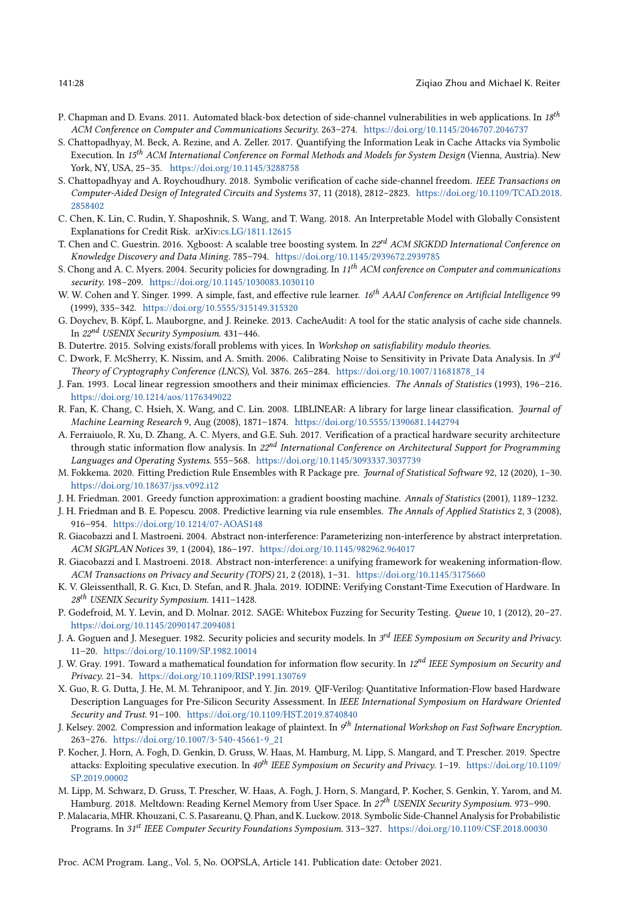- <span id="page-27-9"></span>P. Chapman and D. Evans. 2011. Automated black-box detection of side-channel vulnerabilities in web applications. In 18th ACM Conference on Computer and Communications Security. 263-274. <https://doi.org/10.1145/2046707.2046737>
- <span id="page-27-5"></span>S. Chattopadhyay, M. Beck, A. Rezine, and A. Zeller. 2017. Quantifying the Information Leak in Cache Attacks via Symbolic Execution. In 15<sup>th</sup> ACM International Conference on Formal Methods and Models for System Design (Vienna, Austria). New York, NY, USA, 25-35. <https://doi.org/10.1145/3288758>
- <span id="page-27-16"></span>S. Chattopadhyay and A. Roychoudhury. 2018. Symbolic verification of cache side-channel freedom. IEEE Transactions on Computer-Aided Design of Integrated Circuits and Systems 37, 11 (2018), 2812-2823. [https://doi.org/10.1109/TCAD.2018.](https://doi.org/10.1109/TCAD.2018.2858402) [2858402](https://doi.org/10.1109/TCAD.2018.2858402)
- <span id="page-27-15"></span>C. Chen, K. Lin, C. Rudin, Y. Shaposhnik, S. Wang, and T. Wang. 2018. An Interpretable Model with Globally Consistent Explanations for Credit Risk. arXiv[:cs.LG/1811.12615](https://arxiv.org/abs/cs.LG/1811.12615)
- <span id="page-27-25"></span>T. Chen and C. Guestrin. 2016. Xgboost: A scalable tree boosting system. In 22<sup>rd</sup> ACM SIGKDD International Conference on Knowledge Discovery and Data Mining. 785-794. <https://doi.org/10.1145/2939672.2939785>
- <span id="page-27-12"></span>S. Chong and A. C. Myers. 2004. Security policies for downgrading. In 11<sup>th</sup> ACM conference on Computer and communications security. 198-209. <https://doi.org/10.1145/1030083.1030110>
- <span id="page-27-20"></span>W. W. Cohen and Y. Singer. 1999. A simple, fast, and effective rule learner. 16<sup>th</sup> AAAI Conference on Artificial Intelligence 99 (1999), 335-342. <https://doi.org/10.5555/315149.315320>
- <span id="page-27-6"></span>G. Doychev, B. Köpf, L. Mauborgne, and J. Reineke. 2013. CacheAudit: A tool for the static analysis of cache side channels. In  $22^{nd}$  USENIX Security Symposium. 431-446.
- <span id="page-27-23"></span>B. Dutertre. 2015. Solving exists/forall problems with yices. In Workshop on satisfiability modulo theories.
- <span id="page-27-11"></span>C. Dwork, F. McSherry, K. Nissim, and A. Smith. 2006. Calibrating Noise to Sensitivity in Private Data Analysis. In  $3^{rd}$ Theory of Cryptography Conference (LNCS), Vol. 3876. 265-284. [https://doi.org/10.1007/11681878\\_14](https://doi.org/10.1007/11681878_14)
- <span id="page-27-22"></span>J. Fan. 1993. Local linear regression smoothers and their minimax efficiencies. The Annals of Statistics (1993), 196-216. <https://doi.org/10.1214/aos/1176349022>
- <span id="page-27-24"></span>R. Fan, K. Chang, C. Hsieh, X. Wang, and C. Lin. 2008. LIBLINEAR: A library for large linear classification. Journal of Machine Learning Research 9, Aug (2008), 1871–1874. <https://doi.org/10.5555/1390681.1442794>
- <span id="page-27-13"></span>A. Ferraiuolo, R. Xu, D. Zhang, A. C. Myers, and G.E. Suh. 2017. Verification of a practical hardware security architecture through static information flow analysis. In 22<sup>nd</sup> International Conference on Architectural Support for Programming Languages and Operating Systems. 555-568. <https://doi.org/10.1145/3093337.3037739>
- <span id="page-27-21"></span>M. Fokkema. 2020. Fitting Prediction Rule Ensembles with R Package pre. Journal of Statistical Software 92, 12 (2020), 1-30. <https://doi.org/10.18637/jss.v092.i12>
- <span id="page-27-19"></span>J. H. Friedman. 2001. Greedy function approximation: a gradient boosting machine. Annals of Statistics (2001), 1189-1232.
- <span id="page-27-18"></span>J. H. Friedman and B. E. Popescu. 2008. Predictive learning via rule ensembles. The Annals of Applied Statistics 2, 3 (2008), 916-954. <https://doi.org/10.1214/07-AOAS148>
- <span id="page-27-26"></span>R. Giacobazzi and I. Mastroeni. 2004. Abstract non-interference: Parameterizing non-interference by abstract interpretation. ACM SIGPLAN Notices 39, 1 (2004), 186-197. <https://doi.org/10.1145/982962.964017>
- <span id="page-27-14"></span>R. Giacobazzi and I. Mastroeni. 2018. Abstract non-interference: a unifying framework for weakening information-flow. ACM Transactions on Privacy and Security (TOPS) 21, 2 (2018), 1-31. <https://doi.org/10.1145/3175660>
- <span id="page-27-4"></span>K. V. Gleissenthall, R. G. Kıcı, D. Stefan, and R. Jhala. 2019. IODINE: Verifying Constant-Time Execution of Hardware. In 28<sup>th</sup> USENIX Security Symposium. 1411-1428.
- <span id="page-27-17"></span>P. Godefroid, M. Y. Levin, and D. Molnar. 2012. SAGE: Whitebox Fuzzing for Security Testing. Queue 10, 1 (2012), 20-27. <https://doi.org/10.1145/2090147.2094081>
- <span id="page-27-0"></span>J. A. Goguen and J. Meseguer. 1982. Security policies and security models. In 3<sup>rd</sup> IEEE Symposium on Security and Privacy. 11-20. <https://doi.org/10.1109/SP.1982.10014>
- <span id="page-27-8"></span>J. W. Gray. 1991. Toward a mathematical foundation for information flow security. In  $12^{nd}$  IEEE Symposium on Security and Privacy. 21-34. <https://doi.org/10.1109/RISP.1991.130769>
- <span id="page-27-10"></span>X. Guo, R. G. Dutta, J. He, M. M. Tehranipoor, and Y. Jin. 2019. QIF-Verilog: Quantitative Information-Flow based Hardware Description Languages for Pre-Silicon Security Assessment. In IEEE International Symposium on Hardware Oriented Security and Trust. 91-100. <https://doi.org/10.1109/HST.2019.8740840>
- <span id="page-27-1"></span>J. Kelsey. 2002. Compression and information leakage of plaintext. In 9<sup>th</sup> International Workshop on Fast Software Encryption. 263-276. [https://doi.org/10.1007/3-540-45661-9\\_21](https://doi.org/10.1007/3-540-45661-9_21)
- <span id="page-27-2"></span>P. Kocher, J. Horn, A. Fogh, D. Genkin, D. Gruss, W. Haas, M. Hamburg, M. Lipp, S. Mangard, and T. Prescher. 2019. Spectre attacks: Exploiting speculative execution. In  $40^{th}$  IEEE Symposium on Security and Privacy. 1-19. [https://doi.org/10.1109/](https://doi.org/10.1109/SP.2019.00002) [SP.2019.00002](https://doi.org/10.1109/SP.2019.00002)
- <span id="page-27-3"></span>M. Lipp, M. Schwarz, D. Gruss, T. Prescher, W. Haas, A. Fogh, J. Horn, S. Mangard, P. Kocher, S. Genkin, Y. Yarom, and M. Hamburg. 2018. Meltdown: Reading Kernel Memory from User Space. In 27<sup>th</sup> USENIX Security Symposium. 973-990.
- <span id="page-27-7"></span>P. Malacaria, MHR. Khouzani, C. S. Pasareanu, Q. Phan, and K. Luckow. 2018. Symbolic Side-Channel Analysis for Probabilistic Programs. In 31<sup>st</sup> IEEE Computer Security Foundations Symposium. 313-327. <https://doi.org/10.1109/CSF.2018.00030>

Proc. ACM Program. Lang., Vol. 5, No. OOPSLA, Article 141. Publication date: October 2021.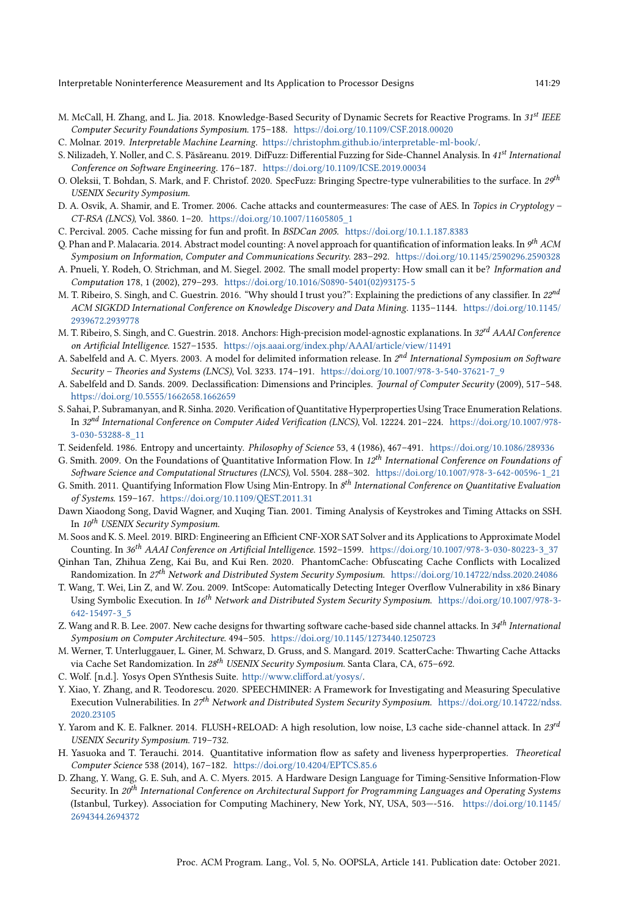- <span id="page-28-16"></span>M. McCall, H. Zhang, and L. Jia. 2018. Knowledge-Based Security of Dynamic Secrets for Reactive Programs. In 31st IEEE Computer Security Foundations Symposium. 175-188. <https://doi.org/10.1109/CSF.2018.00020>
- <span id="page-28-20"></span>C. Molnar. 2019. Interpretable Machine Learning. [https://christophm.github.io/interpretable-ml-book/.](https://christophm.github.io/interpretable-ml-book/)
- <span id="page-28-8"></span>S. Nilizadeh, Y. Noller, and C. S. Păsăreanu. 2019. DifFuzz: Differential Fuzzing for Side-Channel Analysis. In 41st International Conference on Software Engineering. 176-187. <https://doi.org/10.1109/ICSE.2019.00034>
- <span id="page-28-9"></span>O. Oleksii, T. Bohdan, S. Mark, and F. Christof. 2020. SpecFuzz: Bringing Spectre-type vulnerabilities to the surface. In  $29^{th}$ USENIX Security Symposium.
- <span id="page-28-4"></span>D. A. Osvik, A. Shamir, and E. Tromer. 2006. Cache attacks and countermeasures: The case of AES. In Topics in Cryptology CT-RSA (LNCS), Vol. 3860. 1-20. [https://doi.org/10.1007/11605805\\_1](https://doi.org/10.1007/11605805_1)
- <span id="page-28-6"></span>C. Percival. 2005. Cache missing for fun and profit. In BSDCan 2005. <https://doi.org/10.1.1.187.8383>
- <span id="page-28-0"></span>Q. Phan and P. Malacaria. 2014. Abstract model counting: A novel approach for quantification of information leaks. In  $9^{th}$  ACM Symposium on Information, Computer and Communications Security. 283-292. <https://doi.org/10.1145/2590296.2590328>
- <span id="page-28-26"></span>A. Pnueli, Y. Rodeh, O. Strichman, and M. Siegel. 2002. The small model property: How small can it be? Information and Computation 178, 1 (2002), 279-293. [https://doi.org/10.1016/S0890-5401\(02\)93175-5](https://doi.org/10.1016/S0890-5401(02)93175-5)
- <span id="page-28-22"></span>M. T. Ribeiro, S. Singh, and C. Guestrin. 2016. "Why should I trust you?": Explaining the predictions of any classifier. In 22<sup>nd</sup> ACM SIGKDD International Conference on Knowledge Discovery and Data Mining. 1135-1144. [https://doi.org/10.1145/](https://doi.org/10.1145/2939672.2939778) [2939672.2939778](https://doi.org/10.1145/2939672.2939778)
- <span id="page-28-23"></span>M. T. Ribeiro, S. Singh, and C. Guestrin. 2018. Anchors: High-precision model-agnostic explanations. In 32<sup>rd</sup> AAAI Conference on Artificial Intelligence. 1527-1535. <https://ojs.aaai.org/index.php/AAAI/article/view/11491>
- <span id="page-28-17"></span>A. Sabelfeld and A. C. Myers. 2003. A model for delimited information release. In 2<sup>nd</sup> International Symposium on Software Security - Theories and Systems (LNCS), Vol. 3233. 174-191. [https://doi.org/10.1007/978-3-540-37621-7\\_9](https://doi.org/10.1007/978-3-540-37621-7_9)
- <span id="page-28-18"></span>A. Sabelfeld and D. Sands. 2009. Declassification: Dimensions and Principles. Journal of Computer Security (2009), 517-548. <https://doi.org/10.5555/1662658.1662659>
- <span id="page-28-14"></span>S. Sahai, P. Subramanyan, and R. Sinha. 2020. Verification of Quantitative Hyperproperties Using Trace Enumeration Relations. In 32<sup>nd</sup> International Conference on Computer Aided Verification (LNCS), Vol. 12224. 201-224. [https://doi.org/10.1007/978-](https://doi.org/10.1007/978-3-030-53288-8_11) [3-030-53288-8\\_11](https://doi.org/10.1007/978-3-030-53288-8_11)
- <span id="page-28-13"></span><span id="page-28-11"></span>T. Seidenfeld. 1986. Entropy and uncertainty. Philosophy of Science 53, 4 (1986), 467-491. <https://doi.org/10.1086/289336>
- G. Smith. 2009. On the Foundations of Quantitative Information Flow. In 12<sup>th</sup> International Conference on Foundations of Software Science and Computational Structures (LNCS), Vol. 5504. 288-302. [https://doi.org/10.1007/978-3-642-00596-1\\_21](https://doi.org/10.1007/978-3-642-00596-1_21)
- <span id="page-28-12"></span>G. Smith. 2011. Quantifying Information Flow Using Min-Entropy. In 8<sup>th</sup> International Conference on Quantitative Evaluation of Systems. 159-167. <https://doi.org/10.1109/QEST.2011.31>
- <span id="page-28-10"></span>Dawn Xiaodong Song, David Wagner, and Xuqing Tian. 2001. Timing Analysis of Keystrokes and Timing Attacks on SSH. In  $10^{th}$  USENIX Security Symposium.
- <span id="page-28-25"></span>M. Soos and K. S. Meel. 2019. BIRD: Engineering an Efficient CNF-XOR SAT Solver and its Applications to Approximate Model Counting. In  $36^{th}$  AAAI Conference on Artificial Intelligence. 1592-1599. [https://doi.org/10.1007/978-3-030-80223-3\\_37](https://doi.org/10.1007/978-3-030-80223-3_37)
- <span id="page-28-1"></span>Qinhan Tan, Zhihua Zeng, Kai Bu, and Kui Ren. 2020. PhantomCache: Obfuscating Cache Conflicts with Localized Randomization. In 27<sup>th</sup> Network and Distributed System Security Symposium. <https://doi.org/10.14722/ndss.2020.24086>
- <span id="page-28-21"></span>T. Wang, T. Wei, Lin Z, and W. Zou. 2009. IntScope: Automatically Detecting Integer Overflow Vulnerability in x86 Binary Using Symbolic Execution. In 16th Network and Distributed System Security Symposium. [https://doi.org/10.1007/978-3-](https://doi.org/10.1007/978-3-642-15497-3_5) [642-15497-3\\_5](https://doi.org/10.1007/978-3-642-15497-3_5)
- <span id="page-28-2"></span>Z. Wang and R. B. Lee. 2007. New cache designs for thwarting software cache-based side channel attacks. In 34<sup>th</sup> International Symposium on Computer Architecture. 494-505. <https://doi.org/10.1145/1273440.1250723>
- <span id="page-28-3"></span>M. Werner, T. Unterluggauer, L. Giner, M. Schwarz, D. Gruss, and S. Mangard. 2019. ScatterCache: Thwarting Cache Attacks via Cache Set Randomization. In 28<sup>th</sup> USENIX Security Symposium. Santa Clara, CA, 675-692.
- <span id="page-28-24"></span>C. Wolf. [n.d.]. Yosys Open SYnthesis Suite. [http://www.clifford.at/yosys/.](http://www.clifford.at/yosys/)
- <span id="page-28-19"></span>Y. Xiao, Y. Zhang, and R. Teodorescu. 2020. SPEECHMINER: A Framework for Investigating and Measuring Speculative Execution Vulnerabilities. In 27<sup>th</sup> Network and Distributed System Security Symposium. [https://doi.org/10.14722/ndss.](https://doi.org/10.14722/ndss.2020.23105) [2020.23105](https://doi.org/10.14722/ndss.2020.23105)
- <span id="page-28-5"></span>Y. Yarom and K. E. Falkner. 2014. FLUSH+RELOAD: A high resolution, low noise, L3 cache side-channel attack. In 23rd USENIX Security Symposium. 719-732.
- <span id="page-28-15"></span>H. Yasuoka and T. Terauchi. 2014. Quantitative information flow as safety and liveness hyperproperties. Theoretical Computer Science 538 (2014), 167-182. <https://doi.org/10.4204/EPTCS.85.6>
- <span id="page-28-7"></span>D. Zhang, Y. Wang, G. E. Suh, and A. C. Myers. 2015. A Hardware Design Language for Timing-Sensitive Information-Flow Security. In 20<sup>th</sup> International Conference on Architectural Support for Programming Languages and Operating Systems (Istanbul, Turkey). Association for Computing Machinery, New York, NY, USA, 503--516. [https://doi.org/10.1145/](https://doi.org/10.1145/2694344.2694372) [2694344.2694372](https://doi.org/10.1145/2694344.2694372)